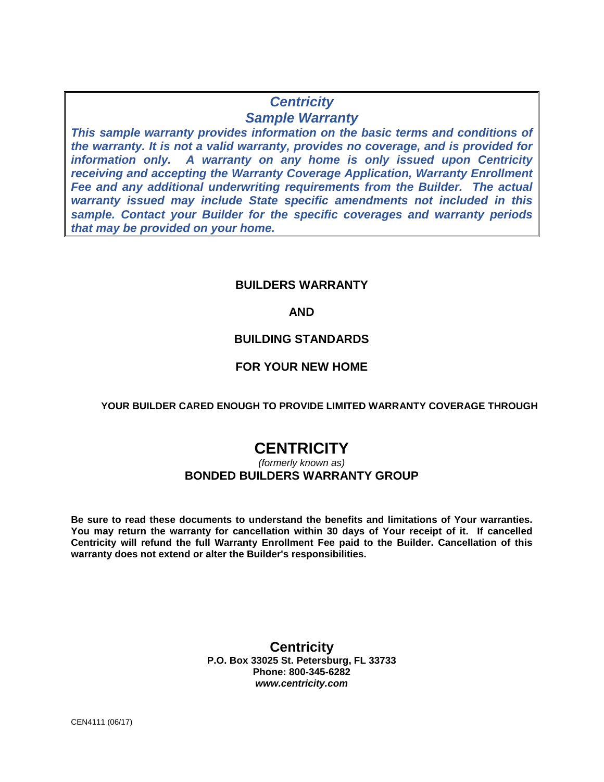# **Centricity Sample Warranty**

**This sample warranty provides information on the basic terms and conditions of the warranty. It is not a valid warranty, provides no coverage, and is provided for information only. A warranty on any home is only issued upon Centricity receiving and accepting the Warranty Coverage Application, Warranty Enrollment Fee and any additional underwriting requirements from the Builder. The actual warranty issued may include State specific amendments not included in this sample. Contact your Builder for the specific coverages and warranty periods that may be provided on your home.** 

# **BUILDERS WARRANTY**

# **AND**

# **BUILDING STANDARDS**

# **FOR YOUR NEW HOME**

# **YOUR BUILDER CARED ENOUGH TO PROVIDE LIMITED WARRANTY COVERAGE THROUGH**

# **CENTRICITY**

# (formerly known as) **BONDED BUILDERS WARRANTY GROUP**

**Be sure to read these documents to understand the benefits and limitations of Your warranties. You may return the warranty for cancellation within 30 days of Your receipt of it. If cancelled Centricity will refund the full Warranty Enrollment Fee paid to the Builder. Cancellation of this warranty does not extend or alter the Builder's responsibilities.** 

# **Centricity P.O. Box 33025 St. Petersburg, FL 33733 Phone: 800-345-6282 www.centricity.com**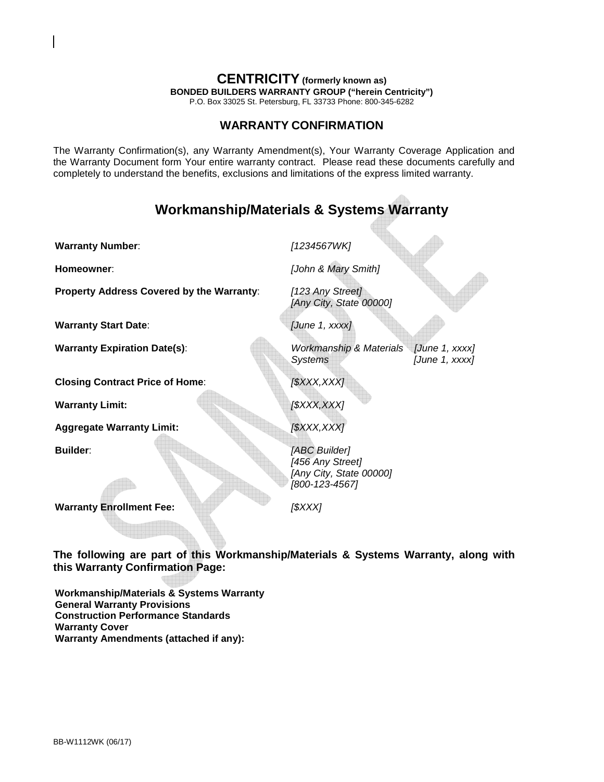# **CENTRICITY (formerly known as)**

**BONDED BUILDERS WARRANTY GROUP ("herein Centricity")** 

P.O. Box 33025 St. Petersburg, FL 33733 Phone: 800-345-6282

# **WARRANTY CONFIRMATION**

The Warranty Confirmation(s), any Warranty Amendment(s), Your Warranty Coverage Application and the Warranty Document form Your entire warranty contract. Please read these documents carefully and completely to understand the benefits, exclusions and limitations of the express limited warranty.

# **Workmanship/Materials & Systems Warranty**

**Warranty Number:** [1234567WK]

**Property Address Covered by the Warranty:** [123 Any Street]

**Warranty Start Date: Warranty Start Date: CONS** 

**Homeowner:** [John & Mary Smith]

[Any City, State 00000]

**Warranty Expiration Date(s):** Workmanship & Materials [June 1, xxxx] Systems [June 1, xxxx]

**Closing Contract Price of Home:** [\$XXX,XXX]

**Warranty Limit:**  $($ \$XXX,XXX)

**Aggregate Warranty Limit:** [\$XXX,XXX]

**Builder:** [ABC Builder] [456 Any Street] [Any City, State 00000] [800-123-4567]

**Warranty Enrollment Fee:** [\$XXX]

**The following are part of this Workmanship/Materials & Systems Warranty, along with this Warranty Confirmation Page:** 

**Workmanship/Materials & Systems Warranty General Warranty Provisions Construction Performance Standards Warranty Cover Warranty Amendments (attached if any):**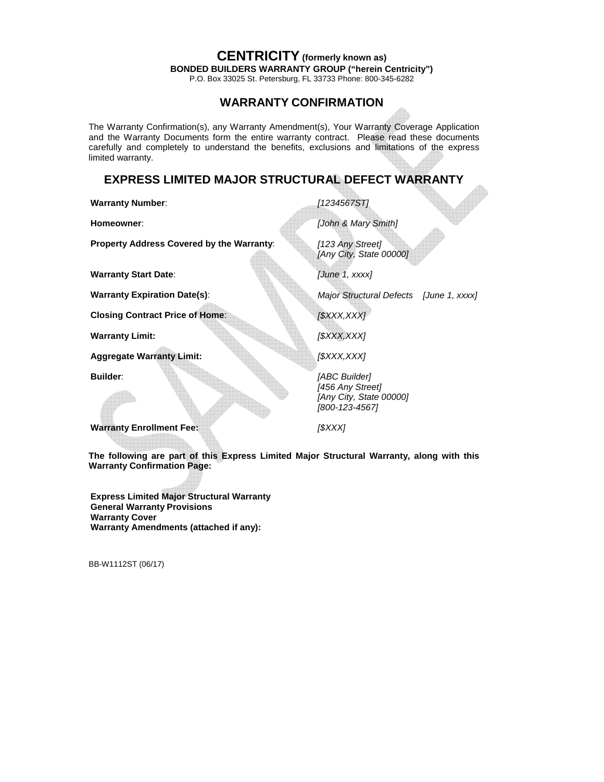P.O. Box 33025 St. Petersburg, FL 33733 Phone: 800-345-6282

# **WARRANTY CONFIRMATION**

The Warranty Confirmation(s), any Warranty Amendment(s), Your Warranty Coverage Application and the Warranty Documents form the entire warranty contract. Please read these documents carefully and completely to understand the benefits, exclusions and limitations of the express limited warranty.

# **EXPRESS LIMITED MAJOR STRUCTURAL DEFECT WARRANTY**

**Warranty Number:** [1234567ST]

**Property Address Covered by the Warranty:** [123 Any Street]

**Warranty Start Date:** [June 1, xxxx]

**Closing Contract Price of Home:** [\$XXX,XXX]

**Warranty Limit:**  $($ \$XXX,XXX]

**Aggregate Warranty Limit:** [\$XXX,XXX]

**Homeowner:** [John & Mary Smith]

[Any City, State 00000]

**Warranty Expiration Date(s):** Major Structural Defects [June 1, xxxx]

**Builder:** [ABC Builder] [456 Any Street] [Any City, State 00000] [800-123-4567]

**Warranty Enrollment Fee:** [\$XXX]

**The following are part of this Express Limited Major Structural Warranty, along with this Warranty Confirmation Page:** 

**Express Limited Major Structural Warranty General Warranty Provisions Warranty Cover Warranty Amendments (attached if any):**

BB-W1112ST (06/17)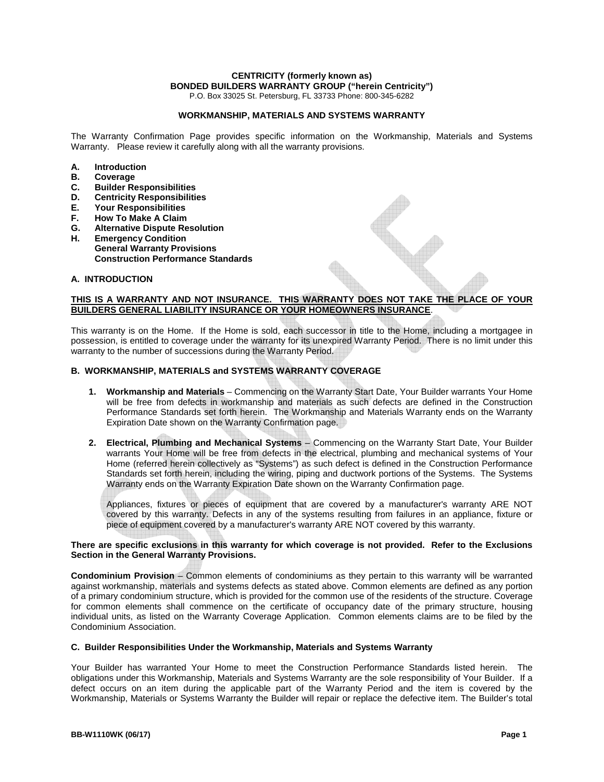P.O. Box 33025 St. Petersburg, FL 33733 Phone: 800-345-6282

#### **WORKMANSHIP, MATERIALS AND SYSTEMS WARRANTY**

The Warranty Confirmation Page provides specific information on the Workmanship, Materials and Systems Warranty. Please review it carefully along with all the warranty provisions.

- **A. Introduction**
- **B. Coverage**
- **C. Builder Responsibilities**
- **D. Centricity Responsibilities**
- **E. Your Responsibilities**
- **F. How To Make A Claim**
- **G. Alternative Dispute Resolution**
- **Emergency Condition General Warranty Provisions Construction Performance Standards**

#### **A. INTRODUCTION**

#### **THIS IS A WARRANTY AND NOT INSURANCE. THIS WARRANTY DOES NOT TAKE THE PLACE OF YOUR BUILDERS GENERAL LIABILITY INSURANCE OR YOUR HOMEOWNERS INSURANCE**.

This warranty is on the Home. If the Home is sold, each successor in title to the Home, including a mortgagee in possession, is entitled to coverage under the warranty for its unexpired Warranty Period. There is no limit under this warranty to the number of successions during the Warranty Period.

#### **B. WORKMANSHIP, MATERIALS and SYSTEMS WARRANTY COVERAGE**

- **1. Workmanship and Materials** Commencing on the Warranty Start Date, Your Builder warrants Your Home will be free from defects in workmanship and materials as such defects are defined in the Construction Performance Standards set forth herein. The Workmanship and Materials Warranty ends on the Warranty Expiration Date shown on the Warranty Confirmation page.
- **2. Electrical, Plumbing and Mechanical Systems** Commencing on the Warranty Start Date, Your Builder warrants Your Home will be free from defects in the electrical, plumbing and mechanical systems of Your Home (referred herein collectively as "Systems") as such defect is defined in the Construction Performance Standards set forth herein, including the wiring, piping and ductwork portions of the Systems. The Systems Warranty ends on the Warranty Expiration Date shown on the Warranty Confirmation page.

Appliances, fixtures or pieces of equipment that are covered by a manufacturer's warranty ARE NOT covered by this warranty. Defects in any of the systems resulting from failures in an appliance, fixture or piece of equipment covered by a manufacturer's warranty ARE NOT covered by this warranty.

#### **There are specific exclusions in this warranty for which coverage is not provided. Refer to the Exclusions Section in the General Warranty Provisions.**

**Condominium Provision** – Common elements of condominiums as they pertain to this warranty will be warranted against workmanship, materials and systems defects as stated above. Common elements are defined as any portion of a primary condominium structure, which is provided for the common use of the residents of the structure. Coverage for common elements shall commence on the certificate of occupancy date of the primary structure, housing individual units, as listed on the Warranty Coverage Application. Common elements claims are to be filed by the Condominium Association.

#### **C. Builder Responsibilities Under the Workmanship, Materials and Systems Warranty**

Your Builder has warranted Your Home to meet the Construction Performance Standards listed herein. The obligations under this Workmanship, Materials and Systems Warranty are the sole responsibility of Your Builder. If a defect occurs on an item during the applicable part of the Warranty Period and the item is covered by the Workmanship, Materials or Systems Warranty the Builder will repair or replace the defective item. The Builder's total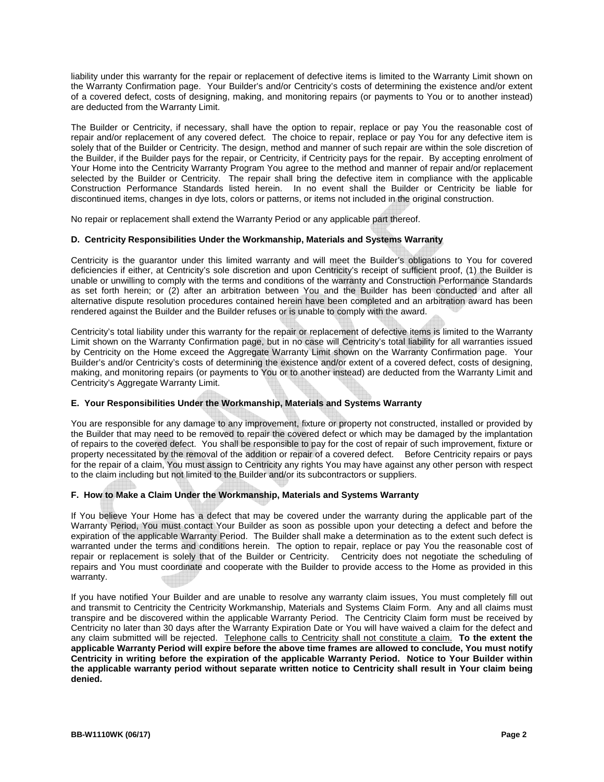liability under this warranty for the repair or replacement of defective items is limited to the Warranty Limit shown on the Warranty Confirmation page. Your Builder's and/or Centricity's costs of determining the existence and/or extent of a covered defect, costs of designing, making, and monitoring repairs (or payments to You or to another instead) are deducted from the Warranty Limit.

The Builder or Centricity, if necessary, shall have the option to repair, replace or pay You the reasonable cost of repair and/or replacement of any covered defect. The choice to repair, replace or pay You for any defective item is solely that of the Builder or Centricity. The design, method and manner of such repair are within the sole discretion of the Builder, if the Builder pays for the repair, or Centricity, if Centricity pays for the repair. By accepting enrolment of Your Home into the Centricity Warranty Program You agree to the method and manner of repair and/or replacement selected by the Builder or Centricity. The repair shall bring the defective item in compliance with the applicable Construction Performance Standards listed herein. In no event shall the Builder or Centricity be liable for discontinued items, changes in dye lots, colors or patterns, or items not included in the original construction.

No repair or replacement shall extend the Warranty Period or any applicable part thereof.

## **D. Centricity Responsibilities Under the Workmanship, Materials and Systems Warranty**

Centricity is the guarantor under this limited warranty and will meet the Builder's obligations to You for covered deficiencies if either, at Centricity's sole discretion and upon Centricity's receipt of sufficient proof, (1) the Builder is unable or unwilling to comply with the terms and conditions of the warranty and Construction Performance Standards as set forth herein; or (2) after an arbitration between You and the Builder has been conducted and after all alternative dispute resolution procedures contained herein have been completed and an arbitration award has been rendered against the Builder and the Builder refuses or is unable to comply with the award.

Centricity's total liability under this warranty for the repair or replacement of defective items is limited to the Warranty Limit shown on the Warranty Confirmation page, but in no case will Centricity's total liability for all warranties issued by Centricity on the Home exceed the Aggregate Warranty Limit shown on the Warranty Confirmation page. Your Builder's and/or Centricity's costs of determining the existence and/or extent of a covered defect, costs of designing, making, and monitoring repairs (or payments to You or to another instead) are deducted from the Warranty Limit and Centricity's Aggregate Warranty Limit.

## **E. Your Responsibilities Under the Workmanship, Materials and Systems Warranty**

You are responsible for any damage to any improvement, fixture or property not constructed, installed or provided by the Builder that may need to be removed to repair the covered defect or which may be damaged by the implantation of repairs to the covered defect. You shall be responsible to pay for the cost of repair of such improvement, fixture or property necessitated by the removal of the addition or repair of a covered defect. Before Centricity repairs or pays for the repair of a claim, You must assign to Centricity any rights You may have against any other person with respect to the claim including but not limited to the Builder and/or its subcontractors or suppliers.

## **F. How to Make a Claim Under the Workmanship, Materials and Systems Warranty**

If You believe Your Home has a defect that may be covered under the warranty during the applicable part of the Warranty Period, You must contact Your Builder as soon as possible upon your detecting a defect and before the expiration of the applicable Warranty Period. The Builder shall make a determination as to the extent such defect is warranted under the terms and conditions herein. The option to repair, replace or pay You the reasonable cost of repair or replacement is solely that of the Builder or Centricity. Centricity does not negotiate the scheduling of repairs and You must coordinate and cooperate with the Builder to provide access to the Home as provided in this warranty.

If you have notified Your Builder and are unable to resolve any warranty claim issues, You must completely fill out and transmit to Centricity the Centricity Workmanship, Materials and Systems Claim Form. Any and all claims must transpire and be discovered within the applicable Warranty Period. The Centricity Claim form must be received by Centricity no later than 30 days after the Warranty Expiration Date or You will have waived a claim for the defect and any claim submitted will be rejected. Telephone calls to Centricity shall not constitute a claim. **To the extent the applicable Warranty Period will expire before the above time frames are allowed to conclude, You must notify Centricity in writing before the expiration of the applicable Warranty Period. Notice to Your Builder within the applicable warranty period without separate written notice to Centricity shall result in Your claim being denied.**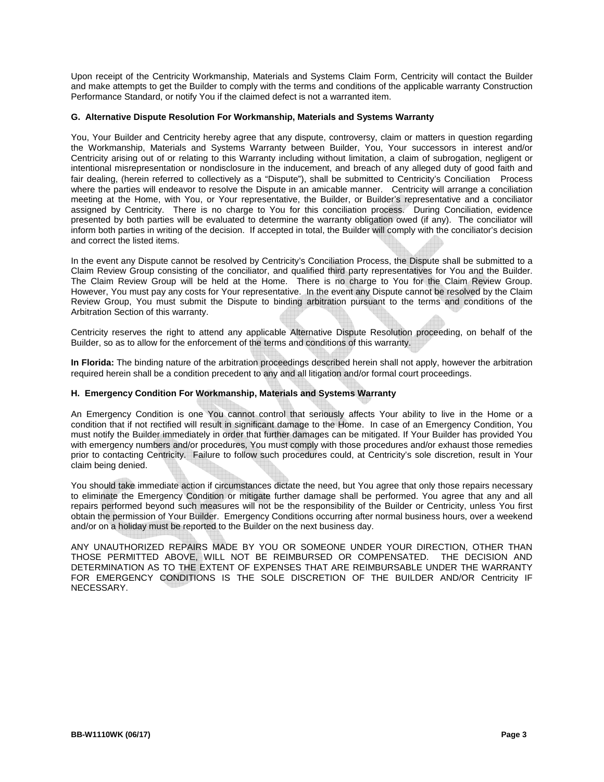Upon receipt of the Centricity Workmanship, Materials and Systems Claim Form, Centricity will contact the Builder and make attempts to get the Builder to comply with the terms and conditions of the applicable warranty Construction Performance Standard, or notify You if the claimed defect is not a warranted item.

## **G. Alternative Dispute Resolution For Workmanship, Materials and Systems Warranty**

You, Your Builder and Centricity hereby agree that any dispute, controversy, claim or matters in question regarding the Workmanship, Materials and Systems Warranty between Builder, You, Your successors in interest and/or Centricity arising out of or relating to this Warranty including without limitation, a claim of subrogation, negligent or intentional misrepresentation or nondisclosure in the inducement, and breach of any alleged duty of good faith and fair dealing, (herein referred to collectively as a "Dispute"), shall be submitted to Centricity's Conciliation Process where the parties will endeavor to resolve the Dispute in an amicable manner. Centricity will arrange a conciliation meeting at the Home, with You, or Your representative, the Builder, or Builder's representative and a conciliator assigned by Centricity. There is no charge to You for this conciliation process. During Conciliation, evidence presented by both parties will be evaluated to determine the warranty obligation owed (if any). The conciliator will inform both parties in writing of the decision. If accepted in total, the Builder will comply with the conciliator's decision and correct the listed items.

In the event any Dispute cannot be resolved by Centricity's Conciliation Process, the Dispute shall be submitted to a Claim Review Group consisting of the conciliator, and qualified third party representatives for You and the Builder. The Claim Review Group will be held at the Home. There is no charge to You for the Claim Review Group. However, You must pay any costs for Your representative. In the event any Dispute cannot be resolved by the Claim Review Group, You must submit the Dispute to binding arbitration pursuant to the terms and conditions of the Arbitration Section of this warranty.

Centricity reserves the right to attend any applicable Alternative Dispute Resolution proceeding, on behalf of the Builder, so as to allow for the enforcement of the terms and conditions of this warranty.

**In Florida:** The binding nature of the arbitration proceedings described herein shall not apply, however the arbitration required herein shall be a condition precedent to any and all litigation and/or formal court proceedings.

## **H. Emergency Condition For Workmanship, Materials and Systems Warranty**

An Emergency Condition is one You cannot control that seriously affects Your ability to live in the Home or a condition that if not rectified will result in significant damage to the Home. In case of an Emergency Condition, You must notify the Builder immediately in order that further damages can be mitigated. If Your Builder has provided You with emergency numbers and/or procedures, You must comply with those procedures and/or exhaust those remedies prior to contacting Centricity. Failure to follow such procedures could, at Centricity's sole discretion, result in Your claim being denied.

You should take immediate action if circumstances dictate the need, but You agree that only those repairs necessary to eliminate the Emergency Condition or mitigate further damage shall be performed. You agree that any and all repairs performed beyond such measures will not be the responsibility of the Builder or Centricity, unless You first obtain the permission of Your Builder. Emergency Conditions occurring after normal business hours, over a weekend and/or on a holiday must be reported to the Builder on the next business day.

ANY UNAUTHORIZED REPAIRS MADE BY YOU OR SOMEONE UNDER YOUR DIRECTION, OTHER THAN THOSE PERMITTED ABOVE, WILL NOT BE REIMBURSED OR COMPENSATED. THE DECISION AND DETERMINATION AS TO THE EXTENT OF EXPENSES THAT ARE REIMBURSABLE UNDER THE WARRANTY FOR EMERGENCY CONDITIONS IS THE SOLE DISCRETION OF THE BUILDER AND/OR Centricity IF NECESSARY.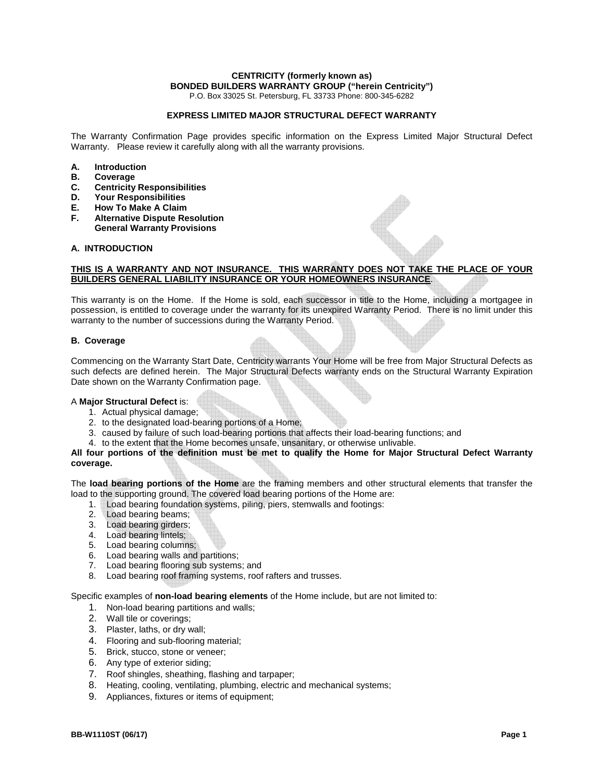P.O. Box 33025 St. Petersburg, FL 33733 Phone: 800-345-6282

#### **EXPRESS LIMITED MAJOR STRUCTURAL DEFECT WARRANTY**

The Warranty Confirmation Page provides specific information on the Express Limited Major Structural Defect Warranty. Please review it carefully along with all the warranty provisions.

- **A. Introduction**
- **B. Coverage**
- **C. Centricity Responsibilities**
- **D. Your Responsibilities**
- **E. How To Make A Claim**
- **F. Alternative Dispute Resolution General Warranty Provisions**

#### **A. INTRODUCTION**

#### **THIS IS A WARRANTY AND NOT INSURANCE. THIS WARRANTY DOES NOT TAKE THE PLACE OF YOUR BUILDERS GENERAL LIABILITY INSURANCE OR YOUR HOMEOWNERS INSURANCE**.

This warranty is on the Home. If the Home is sold, each successor in title to the Home, including a mortgagee in possession, is entitled to coverage under the warranty for its unexpired Warranty Period. There is no limit under this warranty to the number of successions during the Warranty Period.

#### **B. Coverage**

Commencing on the Warranty Start Date, Centricity warrants Your Home will be free from Major Structural Defects as such defects are defined herein. The Major Structural Defects warranty ends on the Structural Warranty Expiration Date shown on the Warranty Confirmation page.

#### A **Major Structural Defect** is:

- 1. Actual physical damage;
- 2. to the designated load-bearing portions of a Home;
- 3. caused by failure of such load-bearing portions that affects their load-bearing functions; and
- 4. to the extent that the Home becomes unsafe, unsanitary, or otherwise unlivable.

#### **All four portions of the definition must be met to qualify the Home for Major Structural Defect Warranty coverage.**

The **load bearing portions of the Home** are the framing members and other structural elements that transfer the load to the supporting ground. The covered load bearing portions of the Home are:

- 1. Load bearing foundation systems, piling, piers, stemwalls and footings:
- 2. Load bearing beams;
- 3. Load bearing girders;
- 4. Load bearing lintels;
- 5. Load bearing columns;
- 6. Load bearing walls and partitions;
- 7. Load bearing flooring sub systems; and
- 8. Load bearing roof framing systems, roof rafters and trusses.

Specific examples of **non-load bearing elements** of the Home include, but are not limited to:

- 1. Non-load bearing partitions and walls;
- 2. Wall tile or coverings;
- 3. Plaster, laths, or dry wall;
- 4. Flooring and sub-flooring material;
- 5. Brick, stucco, stone or veneer;
- 6. Any type of exterior siding;
- 7. Roof shingles, sheathing, flashing and tarpaper;
- 8. Heating, cooling, ventilating, plumbing, electric and mechanical systems;
- 9. Appliances, fixtures or items of equipment;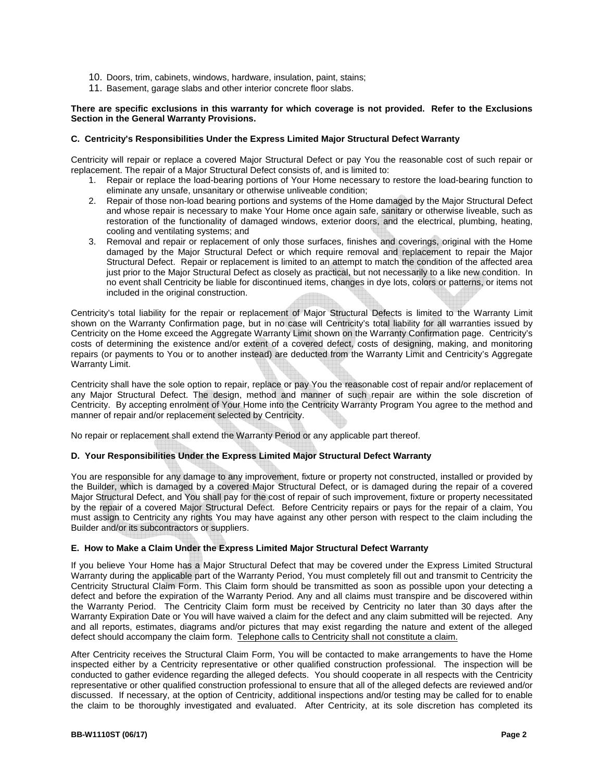- 10. Doors, trim, cabinets, windows, hardware, insulation, paint, stains;
- 11. Basement, garage slabs and other interior concrete floor slabs.

#### **There are specific exclusions in this warranty for which coverage is not provided. Refer to the Exclusions Section in the General Warranty Provisions.**

#### **C. Centricity's Responsibilities Under the Express Limited Major Structural Defect Warranty**

Centricity will repair or replace a covered Major Structural Defect or pay You the reasonable cost of such repair or replacement. The repair of a Major Structural Defect consists of, and is limited to:

- 1. Repair or replace the load-bearing portions of Your Home necessary to restore the load-bearing function to eliminate any unsafe, unsanitary or otherwise unliveable condition;
- 2. Repair of those non-load bearing portions and systems of the Home damaged by the Major Structural Defect and whose repair is necessary to make Your Home once again safe, sanitary or otherwise liveable, such as restoration of the functionality of damaged windows, exterior doors, and the electrical, plumbing, heating, cooling and ventilating systems; and
- 3. Removal and repair or replacement of only those surfaces, finishes and coverings, original with the Home damaged by the Major Structural Defect or which require removal and replacement to repair the Major Structural Defect. Repair or replacement is limited to an attempt to match the condition of the affected area just prior to the Major Structural Defect as closely as practical, but not necessarily to a like new condition. In no event shall Centricity be liable for discontinued items, changes in dye lots, colors or patterns, or items not included in the original construction.

Centricity's total liability for the repair or replacement of Major Structural Defects is limited to the Warranty Limit shown on the Warranty Confirmation page, but in no case will Centricity's total liability for all warranties issued by Centricity on the Home exceed the Aggregate Warranty Limit shown on the Warranty Confirmation page. Centricity's costs of determining the existence and/or extent of a covered defect, costs of designing, making, and monitoring repairs (or payments to You or to another instead) are deducted from the Warranty Limit and Centricity's Aggregate Warranty Limit.

Centricity shall have the sole option to repair, replace or pay You the reasonable cost of repair and/or replacement of any Major Structural Defect. The design, method and manner of such repair are within the sole discretion of Centricity. By accepting enrolment of Your Home into the Centricity Warranty Program You agree to the method and manner of repair and/or replacement selected by Centricity.

No repair or replacement shall extend the Warranty Period or any applicable part thereof.

## **D. Your Responsibilities Under the Express Limited Major Structural Defect Warranty**

You are responsible for any damage to any improvement, fixture or property not constructed, installed or provided by the Builder, which is damaged by a covered Major Structural Defect, or is damaged during the repair of a covered Major Structural Defect, and You shall pay for the cost of repair of such improvement, fixture or property necessitated by the repair of a covered Major Structural Defect. Before Centricity repairs or pays for the repair of a claim, You must assign to Centricity any rights You may have against any other person with respect to the claim including the Builder and/or its subcontractors or suppliers.

#### **E. How to Make a Claim Under the Express Limited Major Structural Defect Warranty**

If you believe Your Home has a Major Structural Defect that may be covered under the Express Limited Structural Warranty during the applicable part of the Warranty Period, You must completely fill out and transmit to Centricity the Centricity Structural Claim Form. This Claim form should be transmitted as soon as possible upon your detecting a defect and before the expiration of the Warranty Period. Any and all claims must transpire and be discovered within the Warranty Period. The Centricity Claim form must be received by Centricity no later than 30 days after the Warranty Expiration Date or You will have waived a claim for the defect and any claim submitted will be rejected. Any and all reports, estimates, diagrams and/or pictures that may exist regarding the nature and extent of the alleged defect should accompany the claim form. Telephone calls to Centricity shall not constitute a claim.

After Centricity receives the Structural Claim Form, You will be contacted to make arrangements to have the Home inspected either by a Centricity representative or other qualified construction professional. The inspection will be conducted to gather evidence regarding the alleged defects. You should cooperate in all respects with the Centricity representative or other qualified construction professional to ensure that all of the alleged defects are reviewed and/or discussed. If necessary, at the option of Centricity, additional inspections and/or testing may be called for to enable the claim to be thoroughly investigated and evaluated. After Centricity, at its sole discretion has completed its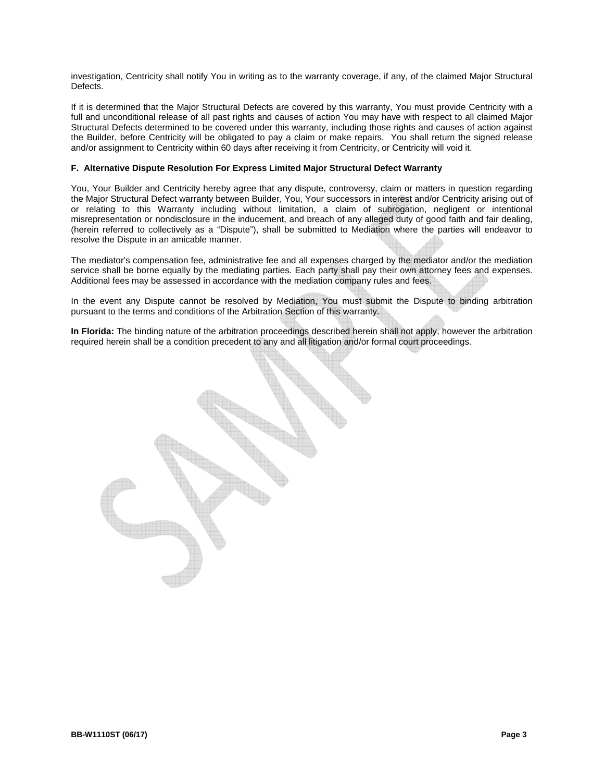investigation, Centricity shall notify You in writing as to the warranty coverage, if any, of the claimed Major Structural Defects.

If it is determined that the Major Structural Defects are covered by this warranty, You must provide Centricity with a full and unconditional release of all past rights and causes of action You may have with respect to all claimed Major Structural Defects determined to be covered under this warranty, including those rights and causes of action against the Builder, before Centricity will be obligated to pay a claim or make repairs. You shall return the signed release and/or assignment to Centricity within 60 days after receiving it from Centricity, or Centricity will void it.

## **F. Alternative Dispute Resolution For Express Limited Major Structural Defect Warranty**

You, Your Builder and Centricity hereby agree that any dispute, controversy, claim or matters in question regarding the Major Structural Defect warranty between Builder, You, Your successors in interest and/or Centricity arising out of or relating to this Warranty including without limitation, a claim of subrogation, negligent or intentional misrepresentation or nondisclosure in the inducement, and breach of any alleged duty of good faith and fair dealing, (herein referred to collectively as a "Dispute"), shall be submitted to Mediation where the parties will endeavor to resolve the Dispute in an amicable manner.

The mediator's compensation fee, administrative fee and all expenses charged by the mediator and/or the mediation service shall be borne equally by the mediating parties. Each party shall pay their own attorney fees and expenses. Additional fees may be assessed in accordance with the mediation company rules and fees.

In the event any Dispute cannot be resolved by Mediation, You must submit the Dispute to binding arbitration pursuant to the terms and conditions of the Arbitration Section of this warranty.

**In Florida:** The binding nature of the arbitration proceedings described herein shall not apply, however the arbitration required herein shall be a condition precedent to any and all litigation and/or formal court proceedings.

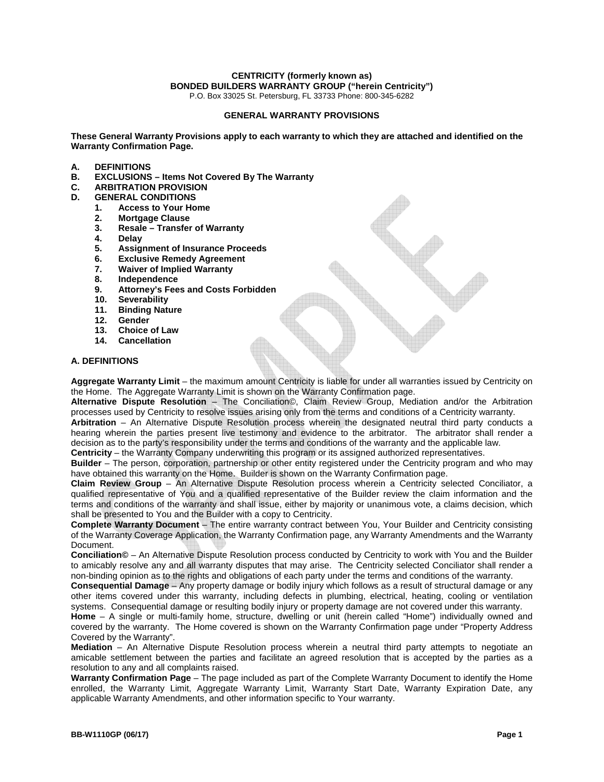P.O. Box 33025 St. Petersburg, FL 33733 Phone: 800-345-6282

#### **GENERAL WARRANTY PROVISIONS**

**These General Warranty Provisions apply to each warranty to which they are attached and identified on the Warranty Confirmation Page.** 

- **A. DEFINITIONS**
- **B. EXCLUSIONS Items Not Covered By The Warranty**
- **C. ARBITRATION PROVISION**
- **D. GENERAL CONDITIONS** 
	- **1. Access to Your Home**
	- **2. Mortgage Clause**
	- **3. Resale Transfer of Warranty**
	- **4. Delay**
	- **5. Assignment of Insurance Proceeds**
	- **6. Exclusive Remedy Agreement**
	- **7. Waiver of Implied Warranty**
	- **8. Independence**
	- **9. Attorney's Fees and Costs Forbidden**
	- **10. Severability**
	- **11. Binding Nature**
	- **12. Gender**
	- **13. Choice of Law**
	- **14. Cancellation**

#### **A. DEFINITIONS**

**Aggregate Warranty Limit** – the maximum amount Centricity is liable for under all warranties issued by Centricity on the Home. The Aggregate Warranty Limit is shown on the Warranty Confirmation page.

**Alternative Dispute Resolution** – The Conciliation©, Claim Review Group, Mediation and/or the Arbitration processes used by Centricity to resolve issues arising only from the terms and conditions of a Centricity warranty.

**Arbitration** – An Alternative Dispute Resolution process wherein the designated neutral third party conducts a hearing wherein the parties present live testimony and evidence to the arbitrator. The arbitrator shall render a decision as to the party's responsibility under the terms and conditions of the warranty and the applicable law.

**Centricity** – the Warranty Company underwriting this program or its assigned authorized representatives.

**Builder** – The person, corporation, partnership or other entity registered under the Centricity program and who may have obtained this warranty on the Home. Builder is shown on the Warranty Confirmation page.

**Claim Review Group** – An Alternative Dispute Resolution process wherein a Centricity selected Conciliator, a qualified representative of You and a qualified representative of the Builder review the claim information and the terms and conditions of the warranty and shall issue, either by majority or unanimous vote, a claims decision, which shall be presented to You and the Builder with a copy to Centricity.

**Complete Warranty Document** – The entire warranty contract between You, Your Builder and Centricity consisting of the Warranty Coverage Application, the Warranty Confirmation page, any Warranty Amendments and the Warranty Document.

**Conciliation©** – An Alternative Dispute Resolution process conducted by Centricity to work with You and the Builder to amicably resolve any and all warranty disputes that may arise. The Centricity selected Conciliator shall render a non-binding opinion as to the rights and obligations of each party under the terms and conditions of the warranty.

**Consequential Damage** – Any property damage or bodily injury which follows as a result of structural damage or any other items covered under this warranty, including defects in plumbing, electrical, heating, cooling or ventilation systems. Consequential damage or resulting bodily injury or property damage are not covered under this warranty.

**Home** – A single or multi-family home, structure, dwelling or unit (herein called "Home") individually owned and covered by the warranty. The Home covered is shown on the Warranty Confirmation page under "Property Address Covered by the Warranty".

**Mediation** – An Alternative Dispute Resolution process wherein a neutral third party attempts to negotiate an amicable settlement between the parties and facilitate an agreed resolution that is accepted by the parties as a resolution to any and all complaints raised.

**Warranty Confirmation Page** – The page included as part of the Complete Warranty Document to identify the Home enrolled, the Warranty Limit, Aggregate Warranty Limit, Warranty Start Date, Warranty Expiration Date, any applicable Warranty Amendments, and other information specific to Your warranty.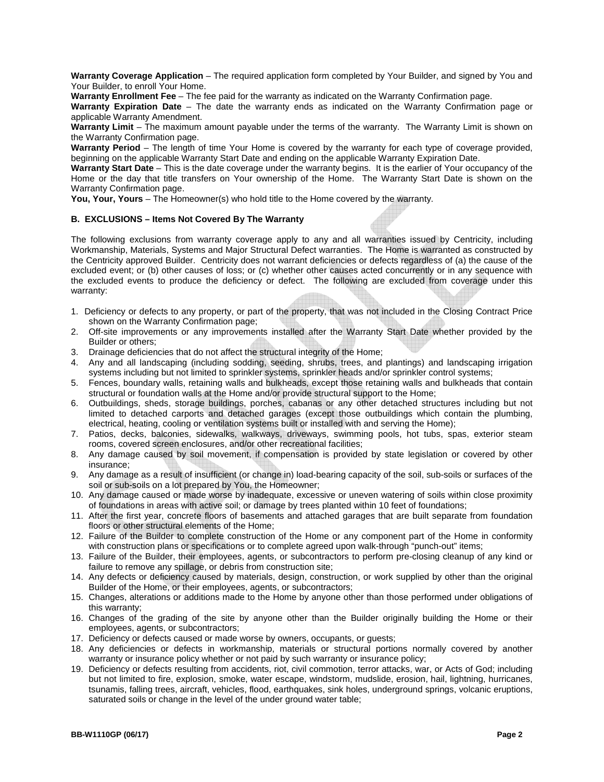**Warranty Coverage Application** – The required application form completed by Your Builder, and signed by You and Your Builder, to enroll Your Home.

**Warranty Enrollment Fee** – The fee paid for the warranty as indicated on the Warranty Confirmation page.

**Warranty Expiration Date** – The date the warranty ends as indicated on the Warranty Confirmation page or applicable Warranty Amendment.

**Warranty Limit** – The maximum amount payable under the terms of the warranty. The Warranty Limit is shown on the Warranty Confirmation page.

**Warranty Period** – The length of time Your Home is covered by the warranty for each type of coverage provided, beginning on the applicable Warranty Start Date and ending on the applicable Warranty Expiration Date.

**Warranty Start Date** – This is the date coverage under the warranty begins. It is the earlier of Your occupancy of the Home or the day that title transfers on Your ownership of the Home. The Warranty Start Date is shown on the Warranty Confirmation page.

**You, Your, Yours** – The Homeowner(s) who hold title to the Home covered by the warranty.

## **B. EXCLUSIONS – Items Not Covered By The Warranty**

The following exclusions from warranty coverage apply to any and all warranties issued by Centricity, including Workmanship, Materials, Systems and Major Structural Defect warranties. The Home is warranted as constructed by the Centricity approved Builder. Centricity does not warrant deficiencies or defects regardless of (a) the cause of the excluded event; or (b) other causes of loss; or (c) whether other causes acted concurrently or in any sequence with the excluded events to produce the deficiency or defect. The following are excluded from coverage under this warranty:

- 1. Deficiency or defects to any property, or part of the property, that was not included in the Closing Contract Price shown on the Warranty Confirmation page;
- 2. Off-site improvements or any improvements installed after the Warranty Start Date whether provided by the Builder or others;
- 3. Drainage deficiencies that do not affect the structural integrity of the Home;
- 4. Any and all landscaping (including sodding, seeding, shrubs, trees, and plantings) and landscaping irrigation systems including but not limited to sprinkler systems, sprinkler heads and/or sprinkler control systems;
- 5. Fences, boundary walls, retaining walls and bulkheads, except those retaining walls and bulkheads that contain structural or foundation walls at the Home and/or provide structural support to the Home;
- 6. Outbuildings, sheds, storage buildings, porches, cabanas or any other detached structures including but not limited to detached carports and detached garages (except those outbuildings which contain the plumbing, electrical, heating, cooling or ventilation systems built or installed with and serving the Home);
- 7. Patios, decks, balconies, sidewalks, walkways, driveways, swimming pools, hot tubs, spas, exterior steam rooms, covered screen enclosures, and/or other recreational facilities;
- 8. Any damage caused by soil movement, if compensation is provided by state legislation or covered by other insurance;
- 9. Any damage as a result of insufficient (or change in) load-bearing capacity of the soil, sub-soils or surfaces of the soil or sub-soils on a lot prepared by You, the Homeowner;
- 10. Any damage caused or made worse by inadequate, excessive or uneven watering of soils within close proximity of foundations in areas with active soil; or damage by trees planted within 10 feet of foundations;
- 11. After the first year, concrete floors of basements and attached garages that are built separate from foundation floors or other structural elements of the Home;
- 12. Failure of the Builder to complete construction of the Home or any component part of the Home in conformity with construction plans or specifications or to complete agreed upon walk-through "punch-out" items;
- 13. Failure of the Builder, their employees, agents, or subcontractors to perform pre-closing cleanup of any kind or failure to remove any spillage, or debris from construction site;
- 14. Any defects or deficiency caused by materials, design, construction, or work supplied by other than the original Builder of the Home, or their employees, agents, or subcontractors;
- 15. Changes, alterations or additions made to the Home by anyone other than those performed under obligations of this warranty;
- 16. Changes of the grading of the site by anyone other than the Builder originally building the Home or their employees, agents, or subcontractors;
- 17. Deficiency or defects caused or made worse by owners, occupants, or guests;
- 18. Any deficiencies or defects in workmanship, materials or structural portions normally covered by another warranty or insurance policy whether or not paid by such warranty or insurance policy;
- 19. Deficiency or defects resulting from accidents, riot, civil commotion, terror attacks, war, or Acts of God; including but not limited to fire, explosion, smoke, water escape, windstorm, mudslide, erosion, hail, lightning, hurricanes, tsunamis, falling trees, aircraft, vehicles, flood, earthquakes, sink holes, underground springs, volcanic eruptions, saturated soils or change in the level of the under ground water table;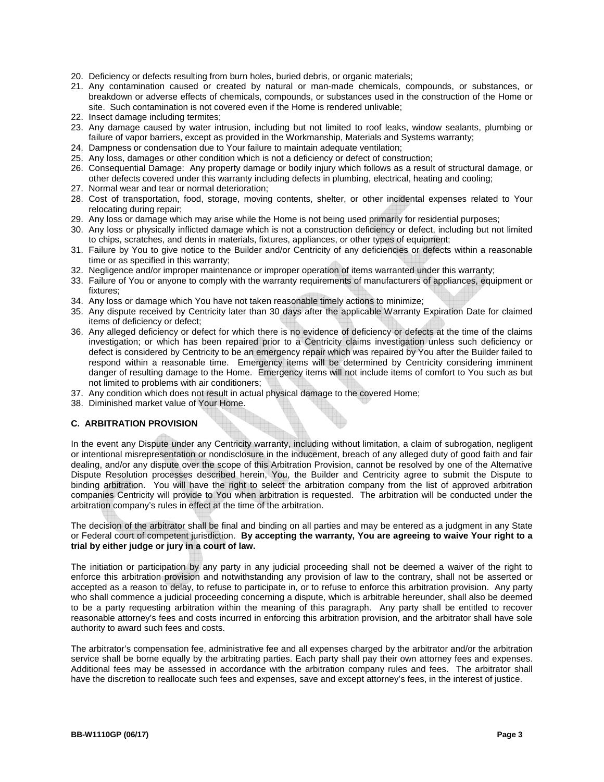- 20. Deficiency or defects resulting from burn holes, buried debris, or organic materials;
- 21. Any contamination caused or created by natural or man-made chemicals, compounds, or substances, or breakdown or adverse effects of chemicals, compounds, or substances used in the construction of the Home or site. Such contamination is not covered even if the Home is rendered unlivable;
- 22. Insect damage including termites;
- 23. Any damage caused by water intrusion, including but not limited to roof leaks, window sealants, plumbing or failure of vapor barriers, except as provided in the Workmanship, Materials and Systems warranty;
- 24. Dampness or condensation due to Your failure to maintain adequate ventilation;
- 25. Any loss, damages or other condition which is not a deficiency or defect of construction;
- 26. Consequential Damage: Any property damage or bodily injury which follows as a result of structural damage, or other defects covered under this warranty including defects in plumbing, electrical, heating and cooling;
- 27. Normal wear and tear or normal deterioration;
- 28. Cost of transportation, food, storage, moving contents, shelter, or other incidental expenses related to Your relocating during repair;
- 29. Any loss or damage which may arise while the Home is not being used primarily for residential purposes;
- 30. Any loss or physically inflicted damage which is not a construction deficiency or defect, including but not limited to chips, scratches, and dents in materials, fixtures, appliances, or other types of equipment;
- 31. Failure by You to give notice to the Builder and/or Centricity of any deficiencies or defects within a reasonable time or as specified in this warranty;
- 32. Negligence and/or improper maintenance or improper operation of items warranted under this warranty;
- 33. Failure of You or anyone to comply with the warranty requirements of manufacturers of appliances, equipment or fixtures;
- 34. Any loss or damage which You have not taken reasonable timely actions to minimize;
- 35. Any dispute received by Centricity later than 30 days after the applicable Warranty Expiration Date for claimed items of deficiency or defect;
- 36. Any alleged deficiency or defect for which there is no evidence of deficiency or defects at the time of the claims investigation; or which has been repaired prior to a Centricity claims investigation unless such deficiency or defect is considered by Centricity to be an emergency repair which was repaired by You after the Builder failed to respond within a reasonable time. Emergency items will be determined by Centricity considering imminent danger of resulting damage to the Home. Emergency items will not include items of comfort to You such as but not limited to problems with air conditioners;
- 37. Any condition which does not result in actual physical damage to the covered Home;
- 38. Diminished market value of Your Home.

#### **C. ARBITRATION PROVISION**

In the event any Dispute under any Centricity warranty, including without limitation, a claim of subrogation, negligent or intentional misrepresentation or nondisclosure in the inducement, breach of any alleged duty of good faith and fair dealing, and/or any dispute over the scope of this Arbitration Provision, cannot be resolved by one of the Alternative Dispute Resolution processes described herein, You, the Builder and Centricity agree to submit the Dispute to binding arbitration. You will have the right to select the arbitration company from the list of approved arbitration companies Centricity will provide to You when arbitration is requested. The arbitration will be conducted under the arbitration company's rules in effect at the time of the arbitration.

The decision of the arbitrator shall be final and binding on all parties and may be entered as a judgment in any State or Federal court of competent jurisdiction. **By accepting the warranty, You are agreeing to waive Your right to a trial by either judge or jury in a court of law.** 

The initiation or participation by any party in any judicial proceeding shall not be deemed a waiver of the right to enforce this arbitration provision and notwithstanding any provision of law to the contrary, shall not be asserted or accepted as a reason to delay, to refuse to participate in, or to refuse to enforce this arbitration provision. Any party who shall commence a judicial proceeding concerning a dispute, which is arbitrable hereunder, shall also be deemed to be a party requesting arbitration within the meaning of this paragraph. Any party shall be entitled to recover reasonable attorney's fees and costs incurred in enforcing this arbitration provision, and the arbitrator shall have sole authority to award such fees and costs.

The arbitrator's compensation fee, administrative fee and all expenses charged by the arbitrator and/or the arbitration service shall be borne equally by the arbitrating parties. Each party shall pay their own attorney fees and expenses. Additional fees may be assessed in accordance with the arbitration company rules and fees. The arbitrator shall have the discretion to reallocate such fees and expenses, save and except attorney's fees, in the interest of justice.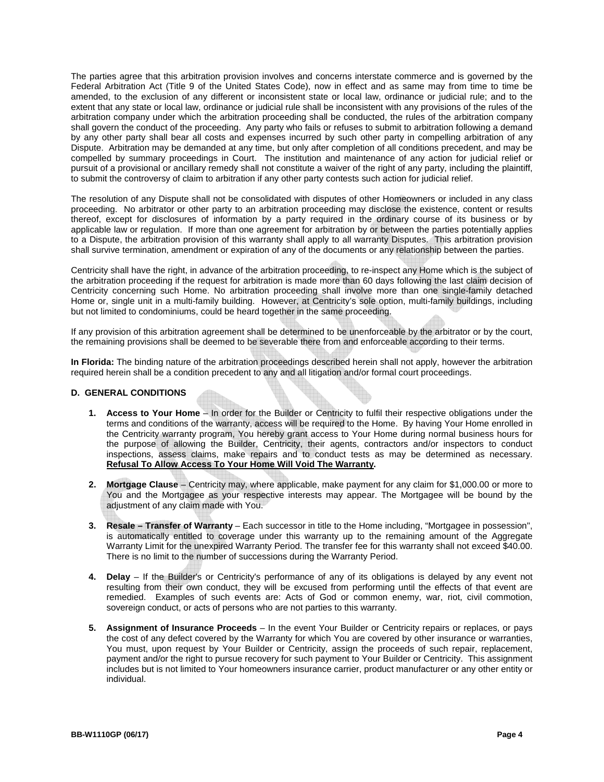The parties agree that this arbitration provision involves and concerns interstate commerce and is governed by the Federal Arbitration Act (Title 9 of the United States Code), now in effect and as same may from time to time be amended, to the exclusion of any different or inconsistent state or local law, ordinance or judicial rule; and to the extent that any state or local law, ordinance or judicial rule shall be inconsistent with any provisions of the rules of the arbitration company under which the arbitration proceeding shall be conducted, the rules of the arbitration company shall govern the conduct of the proceeding. Any party who fails or refuses to submit to arbitration following a demand by any other party shall bear all costs and expenses incurred by such other party in compelling arbitration of any Dispute. Arbitration may be demanded at any time, but only after completion of all conditions precedent, and may be compelled by summary proceedings in Court. The institution and maintenance of any action for judicial relief or pursuit of a provisional or ancillary remedy shall not constitute a waiver of the right of any party, including the plaintiff, to submit the controversy of claim to arbitration if any other party contests such action for judicial relief.

The resolution of any Dispute shall not be consolidated with disputes of other Homeowners or included in any class proceeding. No arbitrator or other party to an arbitration proceeding may disclose the existence, content or results thereof, except for disclosures of information by a party required in the ordinary course of its business or by applicable law or regulation. If more than one agreement for arbitration by or between the parties potentially applies to a Dispute, the arbitration provision of this warranty shall apply to all warranty Disputes. This arbitration provision shall survive termination, amendment or expiration of any of the documents or any relationship between the parties.

Centricity shall have the right, in advance of the arbitration proceeding, to re-inspect any Home which is the subject of the arbitration proceeding if the request for arbitration is made more than 60 days following the last claim decision of Centricity concerning such Home. No arbitration proceeding shall involve more than one single-family detached Home or, single unit in a multi-family building. However, at Centricity's sole option, multi-family buildings, including but not limited to condominiums, could be heard together in the same proceeding.

If any provision of this arbitration agreement shall be determined to be unenforceable by the arbitrator or by the court, the remaining provisions shall be deemed to be severable there from and enforceable according to their terms.

**In Florida:** The binding nature of the arbitration proceedings described herein shall not apply, however the arbitration required herein shall be a condition precedent to any and all litigation and/or formal court proceedings.

#### **D. GENERAL CONDITIONS**

- **1. Access to Your Home** In order for the Builder or Centricity to fulfil their respective obligations under the terms and conditions of the warranty, access will be required to the Home. By having Your Home enrolled in the Centricity warranty program, You hereby grant access to Your Home during normal business hours for the purpose of allowing the Builder, Centricity, their agents, contractors and/or inspectors to conduct inspections, assess claims, make repairs and to conduct tests as may be determined as necessary. **Refusal To Allow Access To Your Home Will Void The Warranty.**
- **2. Mortgage Clause** Centricity may, where applicable, make payment for any claim for \$1,000.00 or more to You and the Mortgagee as your respective interests may appear. The Mortgagee will be bound by the adjustment of any claim made with You.
- **3. Resale Transfer of Warranty** Each successor in title to the Home including, "Mortgagee in possession", is automatically entitled to coverage under this warranty up to the remaining amount of the Aggregate Warranty Limit for the unexpired Warranty Period. The transfer fee for this warranty shall not exceed \$40.00. There is no limit to the number of successions during the Warranty Period.
- **4. Delay** If the Builder's or Centricity's performance of any of its obligations is delayed by any event not resulting from their own conduct, they will be excused from performing until the effects of that event are remedied. Examples of such events are: Acts of God or common enemy, war, riot, civil commotion, sovereign conduct, or acts of persons who are not parties to this warranty.
- **5. Assignment of Insurance Proceeds** In the event Your Builder or Centricity repairs or replaces, or pays the cost of any defect covered by the Warranty for which You are covered by other insurance or warranties, You must, upon request by Your Builder or Centricity, assign the proceeds of such repair, replacement, payment and/or the right to pursue recovery for such payment to Your Builder or Centricity. This assignment includes but is not limited to Your homeowners insurance carrier, product manufacturer or any other entity or individual.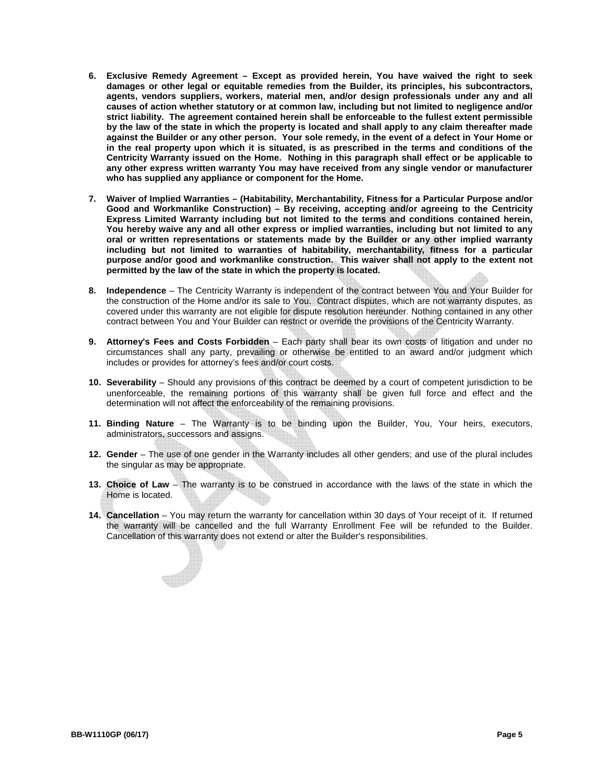- **6. Exclusive Remedy Agreement Except as provided herein, You have waived the right to seek damages or other legal or equitable remedies from the Builder, its principles, his subcontractors, agents, vendors suppliers, workers, material men, and/or design professionals under any and all causes of action whether statutory or at common law, including but not limited to negligence and/or strict liability. The agreement contained herein shall be enforceable to the fullest extent permissible by the law of the state in which the property is located and shall apply to any claim thereafter made against the Builder or any other person. Your sole remedy, in the event of a defect in Your Home or in the real property upon which it is situated, is as prescribed in the terms and conditions of the Centricity Warranty issued on the Home. Nothing in this paragraph shall effect or be applicable to any other express written warranty You may have received from any single vendor or manufacturer who has supplied any appliance or component for the Home.**
- **7. Waiver of Implied Warranties (Habitability, Merchantability, Fitness for a Particular Purpose and/or Good and Workmanlike Construction) – By receiving, accepting and/or agreeing to the Centricity Express Limited Warranty including but not limited to the terms and conditions contained herein, You hereby waive any and all other express or implied warranties, including but not limited to any oral or written representations or statements made by the Builder or any other implied warranty including but not limited to warranties of habitability, merchantability, fitness for a particular purpose and/or good and workmanlike construction. This waiver shall not apply to the extent not permitted by the law of the state in which the property is located.**
- **8. Independence** The Centricity Warranty is independent of the contract between You and Your Builder for the construction of the Home and/or its sale to You. Contract disputes, which are not warranty disputes, as covered under this warranty are not eligible for dispute resolution hereunder. Nothing contained in any other contract between You and Your Builder can restrict or override the provisions of the Centricity Warranty.
- **9. Attorney's Fees and Costs Forbidden**  Each party shall bear its own costs of litigation and under no circumstances shall any party, prevailing or otherwise be entitled to an award and/or judgment which includes or provides for attorney's fees and/or court costs.
- **10. Severability** Should any provisions of this contract be deemed by a court of competent jurisdiction to be unenforceable, the remaining portions of this warranty shall be given full force and effect and the determination will not affect the enforceability of the remaining provisions.
- **11. Binding Nature** The Warranty is to be binding upon the Builder, You, Your heirs, executors, administrators, successors and assigns.
- **12. Gender** The use of one gender in the Warranty includes all other genders; and use of the plural includes the singular as may be appropriate.
- **13. Choice of Law** The warranty is to be construed in accordance with the laws of the state in which the Home is located.
- **14. Cancellation** You may return the warranty for cancellation within 30 days of Your receipt of it. If returned the warranty will be cancelled and the full Warranty Enrollment Fee will be refunded to the Builder. Cancellation of this warranty does not extend or alter the Builder's responsibilities.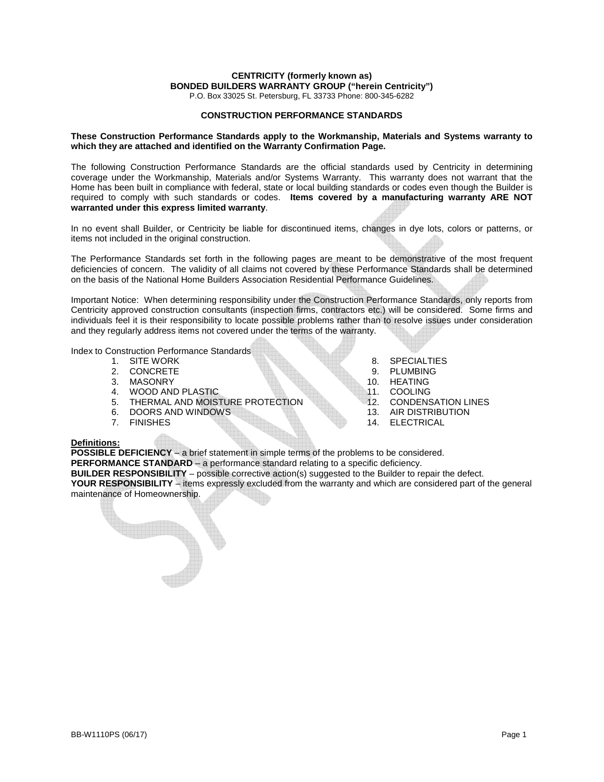P.O. Box 33025 St. Petersburg, FL 33733 Phone: 800-345-6282

#### **CONSTRUCTION PERFORMANCE STANDARDS**

#### **These Construction Performance Standards apply to the Workmanship, Materials and Systems warranty to which they are attached and identified on the Warranty Confirmation Page.**

The following Construction Performance Standards are the official standards used by Centricity in determining coverage under the Workmanship, Materials and/or Systems Warranty. This warranty does not warrant that the Home has been built in compliance with federal, state or local building standards or codes even though the Builder is required to comply with such standards or codes. **Items covered by a manufacturing warranty ARE NOT warranted under this express limited warranty**.

In no event shall Builder, or Centricity be liable for discontinued items, changes in dye lots, colors or patterns, or items not included in the original construction.

The Performance Standards set forth in the following pages are meant to be demonstrative of the most frequent deficiencies of concern. The validity of all claims not covered by these Performance Standards shall be determined on the basis of the National Home Builders Association Residential Performance Guidelines.

Important Notice: When determining responsibility under the Construction Performance Standards, only reports from Centricity approved construction consultants (inspection firms, contractors etc.) will be considered. Some firms and individuals feel it is their responsibility to locate possible problems rather than to resolve issues under consideration and they regularly address items not covered under the terms of the warranty.

Index to Construction Performance Standards<br>1. SITE WORK

- 
- 
- 2. CONCRETE 9. PLUMBING<br>3. MASONRY 10. HEATING
- 
- 4. WOOD AND PLASTIC<br>5. THERMAL AND MOISTURE PROTECTION 12. CONDENSATION LINES 5. THERMAL AND MOISTURE PROTECTION 12. CONDENSATION LIST DOORS AND WINDOWS
- 6. DOORS AND WINDOWS<br>7. FINISHES
- 
- 1. SITE WORK 8. SPECIALTIES<br>1. CONCRETE 9. PLUMBING
	-
	- 10. HEATING<br>11. COOLING
	-
	-
	-
	- 14. ELECTRICAL

## **Definitions:**

**POSSIBLE DEFICIENCY** – a brief statement in simple terms of the problems to be considered. **PERFORMANCE STANDARD** – a performance standard relating to a specific deficiency. **BUILDER RESPONSIBILITY** – possible corrective action(s) suggested to the Builder to repair the defect. **YOUR RESPONSIBILITY** – items expressly excluded from the warranty and which are considered part of the general maintenance of Homeownership.

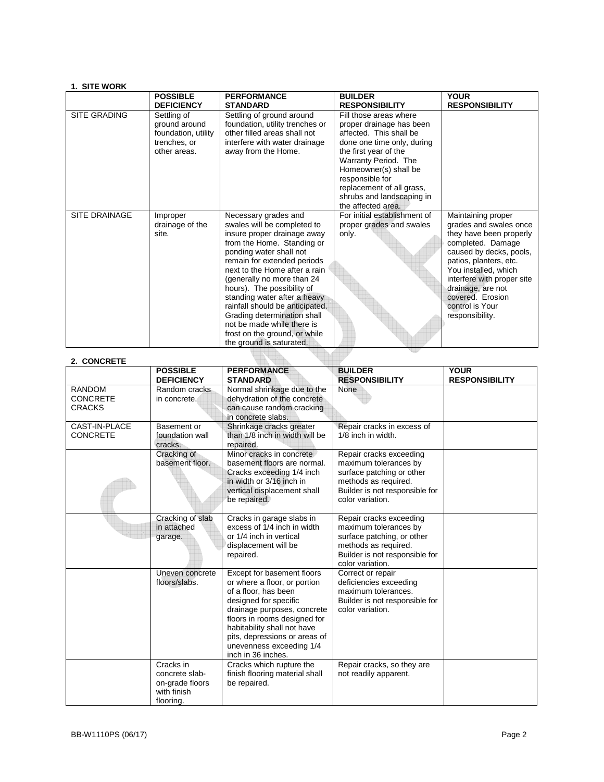## **1. SITE WORK**

|                      | <b>POSSIBLE</b><br><b>DEFICIENCY</b>                                                | <b>PERFORMANCE</b><br><b>STANDARD</b>                                                                                                                                                                                                                                                                                                                                                                                                                                | <b>BUILDER</b><br><b>RESPONSIBILITY</b>                                                                                                                                                                                                                                                  | <b>YOUR</b><br><b>RESPONSIBILITY</b>                                                                                                                                                                                                                                                   |
|----------------------|-------------------------------------------------------------------------------------|----------------------------------------------------------------------------------------------------------------------------------------------------------------------------------------------------------------------------------------------------------------------------------------------------------------------------------------------------------------------------------------------------------------------------------------------------------------------|------------------------------------------------------------------------------------------------------------------------------------------------------------------------------------------------------------------------------------------------------------------------------------------|----------------------------------------------------------------------------------------------------------------------------------------------------------------------------------------------------------------------------------------------------------------------------------------|
| SITE GRADING         | Settling of<br>ground around<br>foundation, utility<br>trenches, or<br>other areas. | Settling of ground around<br>foundation, utility trenches or<br>other filled areas shall not<br>interfere with water drainage<br>away from the Home.                                                                                                                                                                                                                                                                                                                 | Fill those areas where<br>proper drainage has been<br>affected. This shall be<br>done one time only, during<br>the first year of the<br>Warranty Period. The<br>Homeowner(s) shall be<br>responsible for<br>replacement of all grass,<br>shrubs and landscaping in<br>the affected area. |                                                                                                                                                                                                                                                                                        |
| <b>SITE DRAINAGE</b> | Improper<br>drainage of the<br>site.                                                | Necessary grades and<br>swales will be completed to<br>insure proper drainage away<br>from the Home. Standing or<br>ponding water shall not<br>remain for extended periods<br>next to the Home after a rain<br>(generally no more than 24<br>hours). The possibility of<br>standing water after a heavy<br>rainfall should be anticipated.<br>Grading determination shall<br>not be made while there is<br>frost on the ground, or while<br>the ground is saturated. | For initial establishment of<br>proper grades and swales<br>only.                                                                                                                                                                                                                        | Maintaining proper<br>grades and swales once<br>they have been properly<br>completed. Damage<br>caused by decks, pools,<br>patios, planters, etc.<br>You installed, which<br>interfere with proper site<br>drainage, are not<br>covered. Erosion<br>control is Your<br>responsibility. |

t.

| 2. CONCRETE                                       |                                                                            |                                                                                                                                                                                                                                                                                              |                                                                                                                                                              |                                      |
|---------------------------------------------------|----------------------------------------------------------------------------|----------------------------------------------------------------------------------------------------------------------------------------------------------------------------------------------------------------------------------------------------------------------------------------------|--------------------------------------------------------------------------------------------------------------------------------------------------------------|--------------------------------------|
|                                                   | <b>POSSIBLE</b><br><b>DEFICIENCY</b>                                       | <b>PERFORMANCE</b><br><b>STANDARD</b>                                                                                                                                                                                                                                                        | <b>BUILDER</b><br><b>RESPONSIBILITY</b>                                                                                                                      | <b>YOUR</b><br><b>RESPONSIBILITY</b> |
| <b>RANDOM</b><br><b>CONCRETE</b><br><b>CRACKS</b> | Random cracks<br>in concrete.                                              | Normal shrinkage due to the<br>dehydration of the concrete<br>can cause random cracking<br>in concrete slabs.                                                                                                                                                                                | None                                                                                                                                                         |                                      |
| <b>CAST-IN-PLACE</b><br><b>CONCRETE</b>           | Basement or<br>foundation wall<br>cracks.                                  | Shrinkage cracks greater<br>than 1/8 inch in width will be<br>repaired.                                                                                                                                                                                                                      | Repair cracks in excess of<br>1/8 inch in width.                                                                                                             |                                      |
|                                                   | Cracking of<br>basement floor.                                             | Minor cracks in concrete<br>basement floors are normal.<br>Cracks exceeding 1/4 inch<br>in width or 3/16 inch in<br>vertical displacement shall<br>be repaired.                                                                                                                              | Repair cracks exceeding<br>maximum tolerances by<br>surface patching or other<br>methods as required.<br>Builder is not responsible for<br>color variation.  |                                      |
|                                                   | Cracking of slab<br>in attached<br>garage.                                 | Cracks in garage slabs in<br>excess of 1/4 inch in width<br>or 1/4 inch in vertical<br>displacement will be<br>repaired.                                                                                                                                                                     | Repair cracks exceeding<br>maximum tolerances by<br>surface patching, or other<br>methods as required.<br>Builder is not responsible for<br>color variation. |                                      |
|                                                   | Uneven concrete<br>floors/slabs.                                           | Except for basement floors<br>or where a floor, or portion<br>of a floor, has been<br>designed for specific<br>drainage purposes, concrete<br>floors in rooms designed for<br>habitability shall not have<br>pits, depressions or areas of<br>unevenness exceeding 1/4<br>inch in 36 inches. | Correct or repair<br>deficiencies exceeding<br>maximum tolerances.<br>Builder is not responsible for<br>color variation.                                     |                                      |
|                                                   | Cracks in<br>concrete slab-<br>on-grade floors<br>with finish<br>flooring. | Cracks which rupture the<br>finish flooring material shall<br>be repaired.                                                                                                                                                                                                                   | Repair cracks, so they are<br>not readily apparent.                                                                                                          |                                      |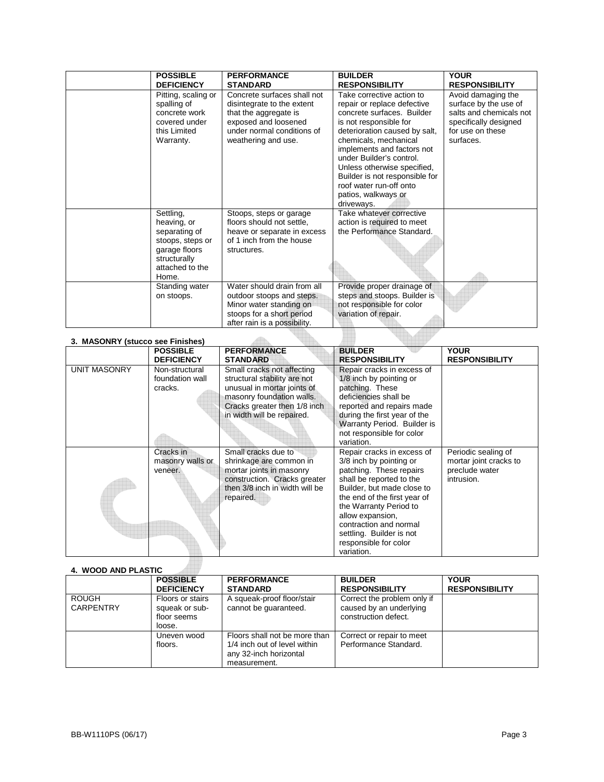| <b>POSSIBLE</b><br><b>DEFICIENCY</b>                                                                                       | <b>PERFORMANCE</b><br><b>STANDARD</b>                                                                                                                           | <b>BUILDER</b><br><b>RESPONSIBILITY</b>                                                                                                                                                                                                                                                                                                                               | <b>YOUR</b><br><b>RESPONSIBILITY</b>                                                                                             |
|----------------------------------------------------------------------------------------------------------------------------|-----------------------------------------------------------------------------------------------------------------------------------------------------------------|-----------------------------------------------------------------------------------------------------------------------------------------------------------------------------------------------------------------------------------------------------------------------------------------------------------------------------------------------------------------------|----------------------------------------------------------------------------------------------------------------------------------|
| Pitting, scaling or<br>spalling of<br>concrete work<br>covered under<br>this Limited<br>Warranty.                          | Concrete surfaces shall not<br>disintegrate to the extent<br>that the aggregate is<br>exposed and loosened<br>under normal conditions of<br>weathering and use. | Take corrective action to<br>repair or replace defective<br>concrete surfaces. Builder<br>is not responsible for<br>deterioration caused by salt,<br>chemicals, mechanical<br>implements and factors not<br>under Builder's control.<br>Unless otherwise specified,<br>Builder is not responsible for<br>roof water run-off onto<br>patios, walkways or<br>driveways. | Avoid damaging the<br>surface by the use of<br>salts and chemicals not<br>specifically designed<br>for use on these<br>surfaces. |
| Settling,<br>heaving, or<br>separating of<br>stoops, steps or<br>garage floors<br>structurally<br>attached to the<br>Home. | Stoops, steps or garage<br>floors should not settle,<br>heave or separate in excess<br>of 1 inch from the house<br>structures.                                  | Take whatever corrective<br>action is required to meet<br>the Performance Standard.                                                                                                                                                                                                                                                                                   |                                                                                                                                  |
| Standing water<br>on stoops.                                                                                               | Water should drain from all<br>outdoor stoops and steps.<br>Minor water standing on<br>stoops for a short period<br>after rain is a possibility.                | Provide proper drainage of<br>steps and stoops. Builder is<br>not responsible for color<br>variation of repair.                                                                                                                                                                                                                                                       |                                                                                                                                  |

|                     | <b>POSSIBLE</b><br><b>DEFICIENCY</b>         | <b>PERFORMANCE</b><br><b>STANDARD</b>                                                                                                                                                | <b>BUILDER</b><br><b>RESPONSIBILITY</b>                                                                                                                                                                                                                                                                               | <b>YOUR</b><br><b>RESPONSIBILITY</b>                                          |
|---------------------|----------------------------------------------|--------------------------------------------------------------------------------------------------------------------------------------------------------------------------------------|-----------------------------------------------------------------------------------------------------------------------------------------------------------------------------------------------------------------------------------------------------------------------------------------------------------------------|-------------------------------------------------------------------------------|
| <b>UNIT MASONRY</b> | Non-structural<br>foundation wall<br>cracks. | Small cracks not affecting<br>structural stability are not<br>unusual in mortar joints of<br>masonry foundation walls.<br>Cracks greater then 1/8 inch<br>in width will be repaired. | Repair cracks in excess of<br>1/8 inch by pointing or<br>patching. These<br>deficiencies shall be<br>reported and repairs made<br>during the first year of the<br>Warranty Period. Builder is<br>not responsible for color<br>variation.                                                                              |                                                                               |
|                     | Cracks in<br>masonry walls or<br>veneer.     | Small cracks due to<br>shrinkage are common in<br>mortar joints in masonry<br>construction. Cracks greater<br>then 3/8 inch in width will be<br>repaired.                            | Repair cracks in excess of<br>3/8 inch by pointing or<br>patching. These repairs<br>shall be reported to the<br>Builder, but made close to<br>the end of the first year of<br>the Warranty Period to<br>allow expansion,<br>contraction and normal<br>settling. Builder is not<br>responsible for color<br>variation. | Periodic sealing of<br>mortar joint cracks to<br>preclude water<br>intrusion. |

# **4. WOOD AND PLASTIC**

| 7. 1100 <i>0 R</i> IID LAOIIO    |                                                             |                                                                                                         |                                                                                |                                      |
|----------------------------------|-------------------------------------------------------------|---------------------------------------------------------------------------------------------------------|--------------------------------------------------------------------------------|--------------------------------------|
|                                  | <b>POSSIBLE</b><br><b>DEFICIENCY</b>                        | <b>PERFORMANCE</b><br><b>STANDARD</b>                                                                   | <b>BUILDER</b><br><b>RESPONSIBILITY</b>                                        | <b>YOUR</b><br><b>RESPONSIBILITY</b> |
| <b>ROUGH</b><br><b>CARPENTRY</b> | Floors or stairs<br>squeak or sub-<br>floor seems<br>loose. | A squeak-proof floor/stair<br>cannot be quaranteed.                                                     | Correct the problem only if<br>caused by an underlying<br>construction defect. |                                      |
|                                  | Uneven wood<br>floors.                                      | Floors shall not be more than<br>1/4 inch out of level within<br>any 32-inch horizontal<br>measurement. | Correct or repair to meet<br>Performance Standard.                             |                                      |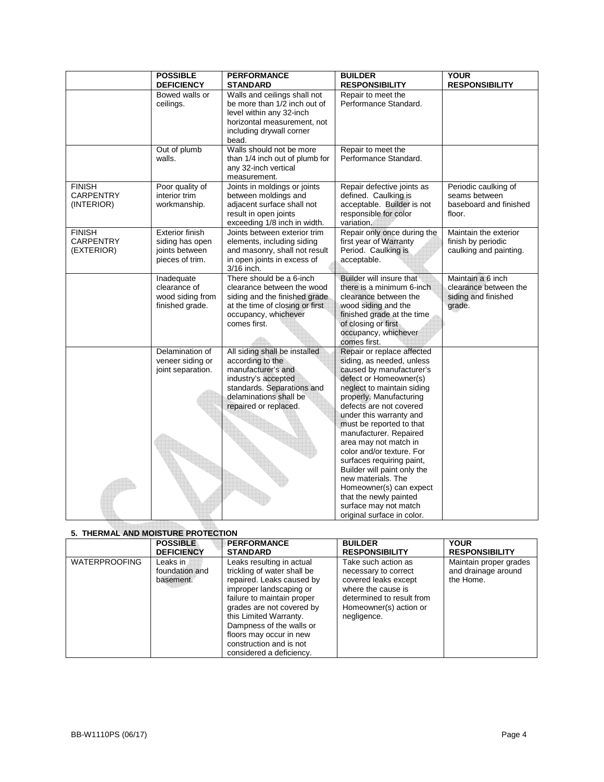|                  | <b>POSSIBLE</b><br><b>DEFICIENCY</b> | <b>PERFORMANCE</b><br><b>STANDARD</b>     | <b>BUILDER</b><br><b>RESPONSIBILITY</b>            | <b>YOUR</b><br><b>RESPONSIBILITY</b> |
|------------------|--------------------------------------|-------------------------------------------|----------------------------------------------------|--------------------------------------|
|                  | Bowed walls or                       | Walls and ceilings shall not              | Repair to meet the                                 |                                      |
|                  | ceilings.                            | be more than 1/2 inch out of              | Performance Standard.                              |                                      |
|                  |                                      | level within any 32-inch                  |                                                    |                                      |
|                  |                                      | horizontal measurement, not               |                                                    |                                      |
|                  |                                      | including drywall corner                  |                                                    |                                      |
|                  |                                      | bead.                                     |                                                    |                                      |
|                  | Out of plumb                         | Walls should not be more                  | Repair to meet the                                 |                                      |
|                  | walls.                               | than 1/4 inch out of plumb for            | Performance Standard.                              |                                      |
|                  |                                      | any 32-inch vertical                      |                                                    |                                      |
|                  |                                      | measurement.                              |                                                    |                                      |
| <b>FINISH</b>    | Poor quality of                      | Joints in moldings or joints              | Repair defective joints as                         | Periodic caulking of                 |
| <b>CARPENTRY</b> | interior trim                        | between moldings and                      | defined. Caulking is                               | seams between                        |
| (INTERIOR)       | workmanship.                         | adjacent surface shall not                | acceptable. Builder is not                         | baseboard and finished               |
|                  |                                      | result in open joints                     | responsible for color                              | floor.                               |
|                  |                                      | exceeding 1/8 inch in width.              | variation.                                         |                                      |
| <b>FINISH</b>    | <b>Exterior finish</b>               | Joints between exterior trim              | Repair only once during the                        | Maintain the exterior                |
| CARPENTRY        | siding has open                      | elements, including siding                | first year of Warranty                             | finish by periodic                   |
| (EXTERIOR)       | joints between                       | and masonry, shall not result             | Period. Caulking is                                | caulking and painting.               |
|                  | pieces of trim.                      | in open joints in excess of<br>3/16 inch. | acceptable.                                        |                                      |
|                  | Inadequate                           | There should be a 6-inch                  | Builder will insure that                           | Maintain a 6 inch                    |
|                  | clearance of                         | clearance between the wood                | there is a minimum 6-inch                          | clearance between the                |
|                  | wood siding from                     | siding and the finished grade             | clearance between the                              | siding and finished                  |
|                  | finished grade.                      | at the time of closing or first           | wood siding and the                                | grade.                               |
|                  |                                      | occupancy, whichever                      | finished grade at the time                         |                                      |
|                  |                                      | comes first.                              | of closing or first                                |                                      |
|                  |                                      |                                           | occupancy, whichever                               |                                      |
|                  |                                      |                                           | comes first.                                       |                                      |
|                  | Delamination of                      | All siding shall be installed             | Repair or replace affected                         |                                      |
|                  | veneer siding or                     | according to the                          | siding, as needed, unless                          |                                      |
|                  | joint separation.                    | manufacturer's and                        | caused by manufacturer's                           |                                      |
|                  |                                      | industry's accepted                       | defect or Homeowner(s)                             |                                      |
|                  |                                      | standards. Separations and                | neglect to maintain siding                         |                                      |
|                  |                                      | delaminations shall be                    | properly. Manufacturing<br>defects are not covered |                                      |
|                  |                                      | repaired or replaced.                     | under this warranty and                            |                                      |
|                  |                                      |                                           | must be reported to that                           |                                      |
|                  |                                      |                                           | manufacturer. Repaired                             |                                      |
|                  |                                      |                                           | area may not match in                              |                                      |
|                  |                                      |                                           | color and/or texture. For                          |                                      |
|                  |                                      |                                           | surfaces requiring paint,                          |                                      |
|                  |                                      |                                           | Builder will paint only the                        |                                      |
|                  |                                      |                                           | new materials. The                                 |                                      |
|                  |                                      |                                           | Homeowner(s) can expect                            |                                      |
|                  |                                      |                                           | that the newly painted                             |                                      |
|                  |                                      |                                           | surface may not match                              |                                      |
|                  |                                      |                                           | original surface in color.                         |                                      |

# **5. THERMAL AND MOISTURE PROTECTION**

|                      | <b>POSSIBLE</b>                           | <b>PERFORMANCE</b>                                                                                                                                                                                                                                                                                                  | <b>BUILDER</b>                                                                                                                                                  | <b>YOUR</b>                                                |
|----------------------|-------------------------------------------|---------------------------------------------------------------------------------------------------------------------------------------------------------------------------------------------------------------------------------------------------------------------------------------------------------------------|-----------------------------------------------------------------------------------------------------------------------------------------------------------------|------------------------------------------------------------|
|                      | <b>DEFICIENCY</b>                         | <b>STANDARD</b>                                                                                                                                                                                                                                                                                                     | <b>RESPONSIBILITY</b>                                                                                                                                           | <b>RESPONSIBILITY</b>                                      |
| <b>WATERPROOFING</b> | Leaks in a<br>foundation and<br>basement. | Leaks resulting in actual<br>trickling of water shall be<br>repaired. Leaks caused by<br>improper landscaping or<br>failure to maintain proper<br>grades are not covered by<br>this Limited Warranty.<br>Dampness of the walls or<br>floors may occur in new<br>construction and is not<br>considered a deficiency. | Take such action as<br>necessary to correct<br>covered leaks except<br>where the cause is<br>determined to result from<br>Homeowner(s) action or<br>negligence. | Maintain proper grades<br>and drainage around<br>the Home. |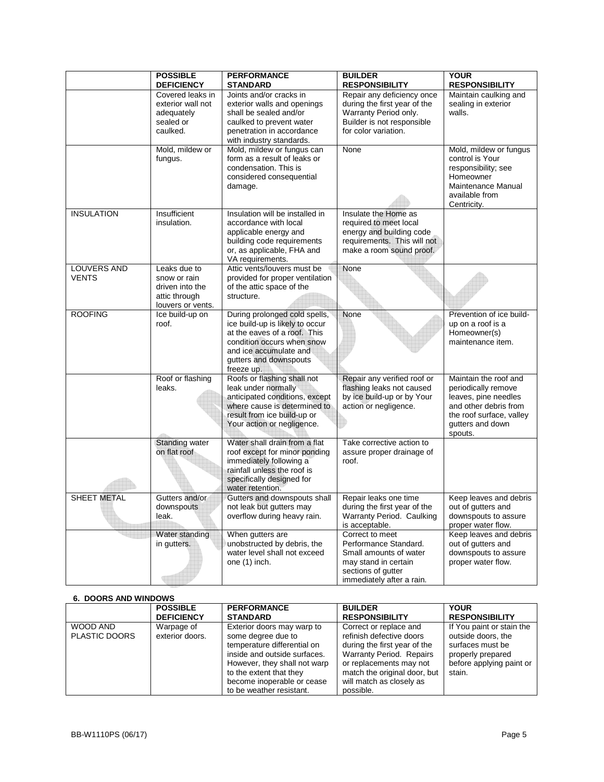|                                    | <b>POSSIBLE</b><br><b>DEFICIENCY</b>                                                  | <b>PERFORMANCE</b><br><b>STANDARD</b>                                                                                                                                                            | <b>BUILDER</b><br><b>RESPONSIBILITY</b>                                                                                                       | <b>YOUR</b><br><b>RESPONSIBILITY</b>                                                                                                                     |
|------------------------------------|---------------------------------------------------------------------------------------|--------------------------------------------------------------------------------------------------------------------------------------------------------------------------------------------------|-----------------------------------------------------------------------------------------------------------------------------------------------|----------------------------------------------------------------------------------------------------------------------------------------------------------|
|                                    | Covered leaks in<br>exterior wall not<br>adequately<br>sealed or<br>caulked.          | Joints and/or cracks in<br>exterior walls and openings<br>shall be sealed and/or<br>caulked to prevent water<br>penetration in accordance<br>with industry standards.                            | Repair any deficiency once<br>during the first year of the<br>Warranty Period only.<br>Builder is not responsible<br>for color variation.     | Maintain caulking and<br>sealing in exterior<br>walls.                                                                                                   |
|                                    | Mold, mildew or<br>fungus.                                                            | Mold, mildew or fungus can<br>form as a result of leaks or<br>condensation. This is<br>considered consequential<br>damage.                                                                       | None                                                                                                                                          | Mold, mildew or fungus<br>control is Your<br>responsibility; see<br>Homeowner<br>Maintenance Manual<br>available from<br>Centricity.                     |
| <b>INSULATION</b>                  | Insufficient<br>insulation.                                                           | Insulation will be installed in<br>accordance with local<br>applicable energy and<br>building code requirements<br>or, as applicable, FHA and<br>VA requirements.                                | Insulate the Home as<br>required to meet local<br>energy and building code<br>requirements. This will not<br>make a room sound proof.         |                                                                                                                                                          |
| <b>LOUVERS AND</b><br><b>VENTS</b> | Leaks due to<br>snow or rain<br>driven into the<br>attic through<br>louvers or vents. | Attic vents/louvers must be<br>provided for proper ventilation<br>of the attic space of the<br>structure.                                                                                        | None                                                                                                                                          |                                                                                                                                                          |
| <b>ROOFING</b>                     | Ice build-up on<br>roof.                                                              | During prolonged cold spells,<br>ice build-up is likely to occur<br>at the eaves of a roof. This<br>condition occurs when snow<br>and ice accumulate and<br>gutters and downspouts<br>freeze up. | None                                                                                                                                          | Prevention of ice build-<br>up on a roof is a<br>Homeowner(s)<br>maintenance item.                                                                       |
|                                    | Roof or flashing<br>leaks.                                                            | Roofs or flashing shall not<br>leak under normally<br>anticipated conditions, except<br>where cause is determined to<br>result from ice build-up or<br>Your action or negligence.                | Repair any verified roof or<br>flashing leaks not caused<br>by ice build-up or by Your<br>action or negligence.                               | Maintain the roof and<br>periodically remove<br>leaves, pine needles<br>and other debris from<br>the roof surface, valley<br>gutters and down<br>spouts. |
|                                    | Standing water<br>on flat roof                                                        | Water shall drain from a flat<br>roof except for minor ponding<br>immediately following a<br>rainfall unless the roof is<br>specifically designed for<br>water retention.                        | Take corrective action to<br>assure proper drainage of<br>roof.                                                                               |                                                                                                                                                          |
| <b>SHEET METAL</b>                 | Gutters and/or<br>downspouts<br>leak.                                                 | Gutters and downspouts shall<br>not leak but gutters may<br>overflow during heavy rain.                                                                                                          | Repair leaks one time<br>during the first year of the<br>Warranty Period. Caulking<br>is acceptable.                                          | Keep leaves and debris<br>out of gutters and<br>downspouts to assure<br>proper water flow.                                                               |
|                                    | Water standing<br>in gutters.                                                         | When gutters are<br>unobstructed by debris, the<br>water level shall not exceed<br>one (1) inch.                                                                                                 | Correct to meet<br>Performance Standard.<br>Small amounts of water<br>may stand in certain<br>sections of gutter<br>immediately after a rain. | Keep leaves and debris<br>out of gutters and<br>downspouts to assure<br>proper water flow.                                                               |

## **6. DOORS AND WINDOWS**

|                                  | <b>POSSIBLE</b>               | <b>PERFORMANCE</b>                                                                                                                                                                                                                   | <b>BUILDER</b>                                                                                                                                                                                                     | <b>YOUR</b>                                                                                                                    |
|----------------------------------|-------------------------------|--------------------------------------------------------------------------------------------------------------------------------------------------------------------------------------------------------------------------------------|--------------------------------------------------------------------------------------------------------------------------------------------------------------------------------------------------------------------|--------------------------------------------------------------------------------------------------------------------------------|
|                                  | <b>DEFICIENCY</b>             | <b>STANDARD</b>                                                                                                                                                                                                                      | <b>RESPONSIBILITY</b>                                                                                                                                                                                              | <b>RESPONSIBILITY</b>                                                                                                          |
| WOOD AND<br><b>PLASTIC DOORS</b> | Warpage of<br>exterior doors. | Exterior doors may warp to<br>some degree due to<br>temperature differential on<br>inside and outside surfaces.<br>However, they shall not warp<br>to the extent that they<br>become inoperable or cease<br>to be weather resistant. | Correct or replace and<br>refinish defective doors<br>during the first year of the<br>Warranty Period. Repairs<br>or replacements may not<br>match the original door, but<br>will match as closely as<br>possible. | If You paint or stain the<br>outside doors, the<br>surfaces must be<br>properly prepared<br>before applying paint or<br>stain. |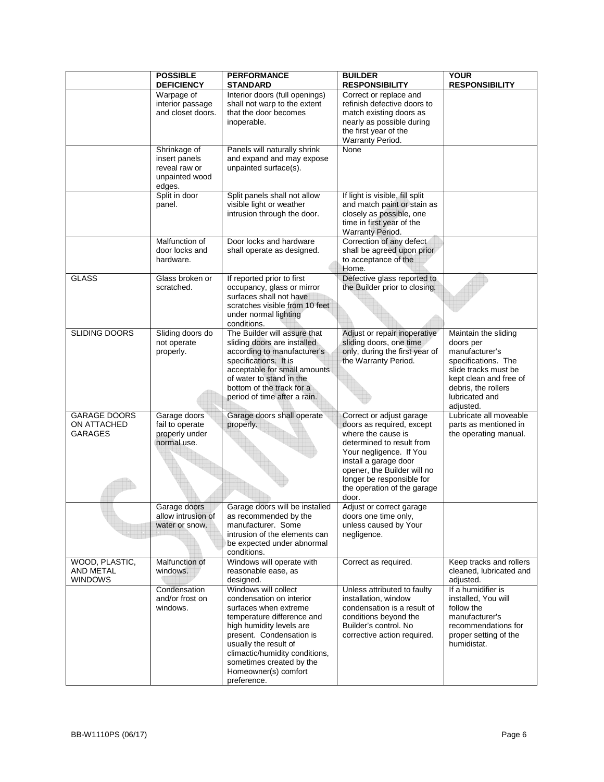|                                                      | <b>POSSIBLE</b><br><b>DEFICIENCY</b>                                       | <b>PERFORMANCE</b><br><b>STANDARD</b>                                                                                                                                                                                                                                                         | <b>BUILDER</b><br><b>RESPONSIBILITY</b>                                                                                                                                                                                                                          | <b>YOUR</b><br><b>RESPONSIBILITY</b>                                                                                                                                               |
|------------------------------------------------------|----------------------------------------------------------------------------|-----------------------------------------------------------------------------------------------------------------------------------------------------------------------------------------------------------------------------------------------------------------------------------------------|------------------------------------------------------------------------------------------------------------------------------------------------------------------------------------------------------------------------------------------------------------------|------------------------------------------------------------------------------------------------------------------------------------------------------------------------------------|
|                                                      | Warpage of<br>interior passage<br>and closet doors.                        | Interior doors (full openings)<br>shall not warp to the extent<br>that the door becomes<br>inoperable.                                                                                                                                                                                        | Correct or replace and<br>refinish defective doors to<br>match existing doors as<br>nearly as possible during<br>the first year of the<br>Warranty Period.                                                                                                       |                                                                                                                                                                                    |
|                                                      | Shrinkage of<br>insert panels<br>reveal raw or<br>unpainted wood<br>edges. | Panels will naturally shrink<br>and expand and may expose<br>unpainted surface(s).                                                                                                                                                                                                            | None                                                                                                                                                                                                                                                             |                                                                                                                                                                                    |
|                                                      | Split in door<br>panel.                                                    | Split panels shall not allow<br>visible light or weather<br>intrusion through the door.                                                                                                                                                                                                       | If light is visible, fill split<br>and match paint or stain as<br>closely as possible, one<br>time in first year of the<br>Warranty Period.                                                                                                                      |                                                                                                                                                                                    |
|                                                      | Malfunction of<br>door locks and<br>hardware.                              | Door locks and hardware<br>shall operate as designed.                                                                                                                                                                                                                                         | Correction of any defect<br>shall be agreed upon prior<br>to acceptance of the<br>Home.                                                                                                                                                                          |                                                                                                                                                                                    |
| <b>GLASS</b>                                         | Glass broken or<br>scratched.                                              | If reported prior to first<br>occupancy, glass or mirror<br>surfaces shall not have<br>scratches visible from 10 feet<br>under normal lighting<br>conditions.                                                                                                                                 | Defective glass reported to<br>the Builder prior to closing.                                                                                                                                                                                                     |                                                                                                                                                                                    |
| SLIDING DOORS                                        | Sliding doors do<br>not operate<br>properly.                               | The Builder will assure that<br>sliding doors are installed<br>according to manufacturer's<br>specifications. It is<br>acceptable for small amounts<br>of water to stand in the<br>bottom of the track for a<br>period of time after a rain.                                                  | Adjust or repair inoperative<br>sliding doors, one time<br>only, during the first year of<br>the Warranty Period.                                                                                                                                                | Maintain the sliding<br>doors per<br>manufacturer's<br>specifications. The<br>slide tracks must be<br>kept clean and free of<br>debris, the rollers<br>lubricated and<br>adjusted. |
| <b>GARAGE DOORS</b><br>ON ATTACHED<br><b>GARAGES</b> | Garage doors<br>fail to operate<br>properly under<br>normal use.           | Garage doors shall operate<br>properly.                                                                                                                                                                                                                                                       | Correct or adjust garage<br>doors as required, except<br>where the cause is<br>determined to result from<br>Your negligence. If You<br>install a garage door<br>opener, the Builder will no<br>longer be responsible for<br>the operation of the garage<br>door. | Lubricate all moveable<br>parts as mentioned in<br>the operating manual.                                                                                                           |
|                                                      | Garage doors<br>allow intrusion of<br>water or snow.                       | Garage doors will be installed<br>as recommended by the<br>manufacturer. Some<br>intrusion of the elements can<br>be expected under abnormal<br>conditions.                                                                                                                                   | Adjust or correct garage<br>doors one time only,<br>unless caused by Your<br>negligence.                                                                                                                                                                         |                                                                                                                                                                                    |
| WOOD, PLASTIC,<br>AND METAL<br><b>WINDOWS</b>        | Malfunction of<br>windows.                                                 | Windows will operate with<br>reasonable ease, as<br>designed.                                                                                                                                                                                                                                 | Correct as required.                                                                                                                                                                                                                                             | Keep tracks and rollers<br>cleaned, lubricated and<br>adjusted.                                                                                                                    |
|                                                      | Condensation<br>and/or frost on<br>windows.                                | Windows will collect<br>condensation on interior<br>surfaces when extreme<br>temperature difference and<br>high humidity levels are<br>present. Condensation is<br>usually the result of<br>climactic/humidity conditions,<br>sometimes created by the<br>Homeowner(s) comfort<br>preference. | Unless attributed to faulty<br>installation, window<br>condensation is a result of<br>conditions beyond the<br>Builder's control. No<br>corrective action required.                                                                                              | If a humidifier is<br>installed, You will<br>follow the<br>manufacturer's<br>recommendations for<br>proper setting of the<br>humidistat.                                           |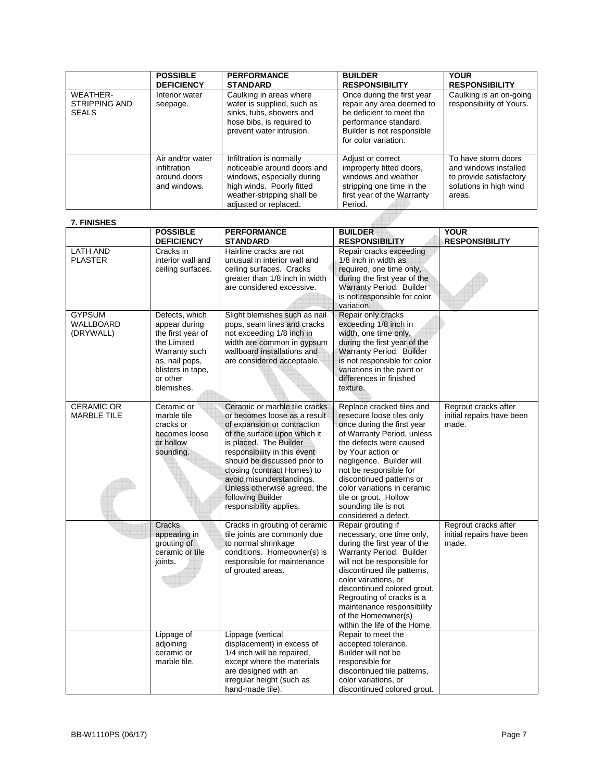|                                                  | <b>POSSIBLE</b><br><b>DEFICIENCY</b>                             | <b>PERFORMANCE</b><br><b>STANDARD</b>                                                                                                                                     | <b>BUILDER</b><br><b>RESPONSIBILITY</b>                                                                                                                            | <b>YOUR</b><br><b>RESPONSIBILITY</b>                                                                        |
|--------------------------------------------------|------------------------------------------------------------------|---------------------------------------------------------------------------------------------------------------------------------------------------------------------------|--------------------------------------------------------------------------------------------------------------------------------------------------------------------|-------------------------------------------------------------------------------------------------------------|
| WEATHER-<br><b>STRIPPING AND</b><br><b>SEALS</b> | Interior water<br>seepage.                                       | Caulking in areas where<br>water is supplied, such as<br>sinks, tubs, showers and<br>hose bibs, is required to<br>prevent water intrusion.                                | Once during the first year<br>repair any area deemed to<br>be deficient to meet the<br>performance standard.<br>Builder is not responsible<br>for color variation. | Caulking is an on-going<br>responsibility of Yours.                                                         |
|                                                  | Air and/or water<br>infiltration<br>around doors<br>and windows. | Infiltration is normally<br>noticeable around doors and<br>windows, especially during<br>high winds. Poorly fitted<br>weather-stripping shall be<br>adiusted or replaced. | Adjust or correct<br>improperly fitted doors,<br>windows and weather<br>stripping one time in the<br>first year of the Warranty<br>Period.                         | To have storm doors<br>and windows installed<br>to provide satisfactory<br>solutions in high wind<br>areas. |

**AUT** 

## **7. FINISHES**

|                                         | <b>POSSIBLE</b><br><b>DEFICIENCY</b>                                                                                                                  | <b>PERFORMANCE</b><br><b>STANDARD</b>                                                                                                                                                                                                                                                                                                                             | <b>BUILDER</b><br><b>RESPONSIBILITY</b>                                                                                                                                                                                                                                                                                                                      | <b>YOUR</b><br><b>RESPONSIBILITY</b>                       |
|-----------------------------------------|-------------------------------------------------------------------------------------------------------------------------------------------------------|-------------------------------------------------------------------------------------------------------------------------------------------------------------------------------------------------------------------------------------------------------------------------------------------------------------------------------------------------------------------|--------------------------------------------------------------------------------------------------------------------------------------------------------------------------------------------------------------------------------------------------------------------------------------------------------------------------------------------------------------|------------------------------------------------------------|
| <b>LATH AND</b><br><b>PLASTER</b>       | Cracks in<br>interior wall and<br>ceiling surfaces.                                                                                                   | Hairline cracks are not<br>unusual in interior wall and<br>ceiling surfaces. Cracks<br>greater than 1/8 inch in width<br>are considered excessive.                                                                                                                                                                                                                | Repair cracks exceeding<br>1/8 inch in width as<br>required, one time only,<br>during the first year of the<br>Warranty Period. Builder<br>is not responsible for color<br>variation.                                                                                                                                                                        |                                                            |
| <b>GYPSUM</b><br>WALLBOARD<br>(DRYWALL) | Defects, which<br>appear during<br>the first year of<br>the Limited<br>Warranty such<br>as, nail pops,<br>blisters in tape,<br>or other<br>blemishes. | Slight blemishes such as nail<br>pops, seam lines and cracks<br>not exceeding 1/8 inch in<br>width are common in gypsum<br>wallboard installations and<br>are considered acceptable.                                                                                                                                                                              | Repair only cracks<br>exceeding 1/8 inch in<br>width, one time only,<br>during the first year of the<br>Warranty Period. Builder<br>is not responsible for color<br>variations in the paint or<br>differences in finished<br>texture.                                                                                                                        |                                                            |
| <b>CERAMIC OR</b><br><b>MARBLE TILE</b> | Ceramic or<br>marble tile<br>cracks or<br>becomes loose<br>or hollow<br>sounding.                                                                     | Ceramic or marble tile cracks<br>or becomes loose as a result<br>of expansion or contraction<br>of the surface upon which it<br>is placed. The Builder<br>responsibility in this event<br>should be discussed prior to<br>closing (contract Homes) to<br>avoid misunderstandings.<br>Unless otherwise agreed, the<br>following Builder<br>responsibility applies. | Replace cracked tiles and<br>resecure loose tiles only<br>once during the first year<br>of Warranty Period, unless<br>the defects were caused<br>by Your action or<br>negligence. Builder will<br>not be responsible for<br>discontinued patterns or<br>color variations in ceramic<br>tile or grout. Hollow<br>sounding tile is not<br>considered a defect. | Regrout cracks after<br>initial repairs have been<br>made. |
|                                         | Cracks<br>appearing in<br>grouting of<br>ceramic or tile<br>joints.                                                                                   | Cracks in grouting of ceramic<br>tile joints are commonly due<br>to normal shrinkage<br>conditions. Homeowner(s) is<br>responsible for maintenance<br>of grouted areas.                                                                                                                                                                                           | Repair grouting if<br>necessary, one time only,<br>during the first year of the<br>Warranty Period. Builder<br>will not be responsible for<br>discontinued tile patterns,<br>color variations, or<br>discontinued colored grout.<br>Regrouting of cracks is a<br>maintenance responsibility<br>of the Homeowner(s)<br>within the life of the Home.           | Regrout cracks after<br>initial repairs have been<br>made. |
|                                         | Lippage of<br>adjoining<br>ceramic or<br>marble tile.                                                                                                 | Lippage (vertical<br>displacement) in excess of<br>1/4 inch will be repaired,<br>except where the materials<br>are designed with an<br>irregular height (such as<br>hand-made tile).                                                                                                                                                                              | Repair to meet the<br>accepted tolerance.<br>Builder will not be<br>responsible for<br>discontinued tile patterns,<br>color variations, or<br>discontinued colored grout.                                                                                                                                                                                    |                                                            |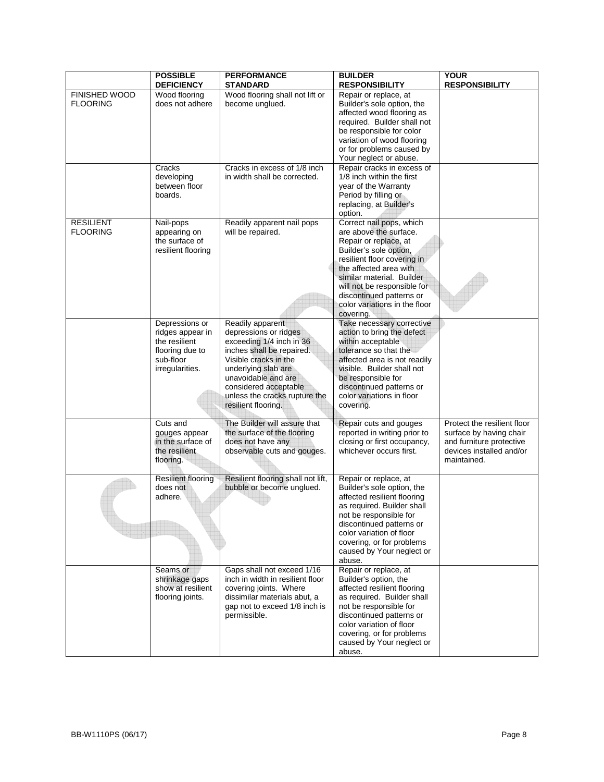|                                     | <b>POSSIBLE</b><br><b>DEFICIENCY</b>                                                                   | <b>PERFORMANCE</b><br><b>STANDARD</b>                                                                                                                                                                                                                      | <b>BUILDER</b><br><b>RESPONSIBILITY</b>                                                                                                                                                                                                                                                              | <b>YOUR</b><br><b>RESPONSIBILITY</b>                                                                                          |
|-------------------------------------|--------------------------------------------------------------------------------------------------------|------------------------------------------------------------------------------------------------------------------------------------------------------------------------------------------------------------------------------------------------------------|------------------------------------------------------------------------------------------------------------------------------------------------------------------------------------------------------------------------------------------------------------------------------------------------------|-------------------------------------------------------------------------------------------------------------------------------|
| FINISHED WOOD<br><b>FLOORING</b>    | Wood flooring<br>does not adhere                                                                       | Wood flooring shall not lift or<br>become unglued.                                                                                                                                                                                                         | Repair or replace, at<br>Builder's sole option, the<br>affected wood flooring as<br>required. Builder shall not<br>be responsible for color<br>variation of wood flooring<br>or for problems caused by<br>Your neglect or abuse.                                                                     |                                                                                                                               |
|                                     | Cracks<br>developing<br>between floor<br>boards.                                                       | Cracks in excess of 1/8 inch<br>in width shall be corrected.                                                                                                                                                                                               | Repair cracks in excess of<br>1/8 inch within the first<br>year of the Warranty<br>Period by filling or<br>replacing, at Builder's<br>option.                                                                                                                                                        |                                                                                                                               |
| <b>RESILIENT</b><br><b>FLOORING</b> | Nail-pops<br>appearing on<br>the surface of<br>resilient flooring                                      | Readily apparent nail pops<br>will be repaired.                                                                                                                                                                                                            | Correct nail pops, which<br>are above the surface.<br>Repair or replace, at<br>Builder's sole option,<br>resilient floor covering in<br>the affected area with<br>similar material. Builder<br>will not be responsible for<br>discontinued patterns or<br>color variations in the floor<br>covering. |                                                                                                                               |
|                                     | Depressions or<br>ridges appear in<br>the resilient<br>flooring due to<br>sub-floor<br>irregularities. | Readily apparent<br>depressions or ridges<br>exceeding 1/4 inch in 36<br>inches shall be repaired.<br>Visible cracks in the<br>underlying slab are<br>unavoidable and are<br>considered acceptable<br>unless the cracks rupture the<br>resilient flooring. | Take necessary corrective<br>action to bring the defect<br>within acceptable<br>tolerance so that the<br>affected area is not readily<br>visible. Builder shall not<br>be responsible for<br>discontinued patterns or<br>color variations in floor<br>covering.                                      |                                                                                                                               |
|                                     | Cuts and<br>gouges appear<br>in the surface of<br>the resilient<br>flooring.                           | The Builder will assure that<br>the surface of the flooring<br>does not have any<br>observable cuts and gouges.                                                                                                                                            | Repair cuts and gouges<br>reported in writing prior to<br>closing or first occupancy,<br>whichever occurs first.                                                                                                                                                                                     | Protect the resilient floor<br>surface by having chair<br>and furniture protective<br>devices installed and/or<br>maintained. |
|                                     | Resilient flooring<br>does not<br>adhere.                                                              | Resilient flooring shall not lift,<br>bubble or become unglued.                                                                                                                                                                                            | Repair or replace, at<br>Builder's sole option, the<br>affected resilient flooring<br>as required. Builder shall<br>not be responsible for<br>discontinued patterns or<br>color variation of floor<br>covering, or for problems<br>caused by Your neglect or<br>abuse.                               |                                                                                                                               |
|                                     | Seams or<br>shrinkage gaps<br>show at resilient<br>flooring joints.                                    | Gaps shall not exceed 1/16<br>inch in width in resilient floor<br>covering joints. Where<br>dissimilar materials abut, a<br>gap not to exceed 1/8 inch is<br>permissible.                                                                                  | Repair or replace, at<br>Builder's option, the<br>affected resilient flooring<br>as required. Builder shall<br>not be responsible for<br>discontinued patterns or<br>color variation of floor<br>covering, or for problems<br>caused by Your neglect or<br>abuse.                                    |                                                                                                                               |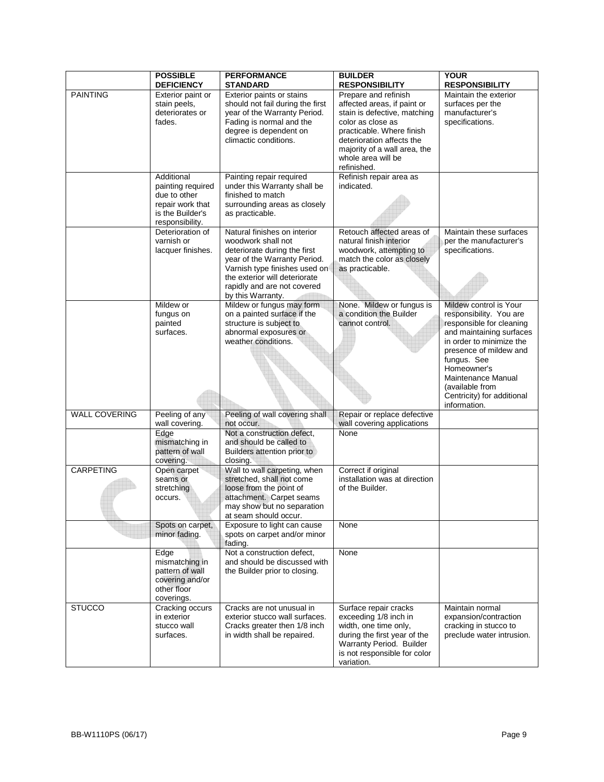|                      | <b>POSSIBLE</b><br><b>DEFICIENCY</b> | <b>PERFORMANCE</b><br><b>STANDARD</b>                        | <b>BUILDER</b><br><b>RESPONSIBILITY</b>    | <b>YOUR</b><br><b>RESPONSIBILITY</b>               |
|----------------------|--------------------------------------|--------------------------------------------------------------|--------------------------------------------|----------------------------------------------------|
| <b>PAINTING</b>      | Exterior paint or                    | Exterior paints or stains                                    | Prepare and refinish                       | Maintain the exterior                              |
|                      | stain peels,                         | should not fail during the first                             | affected areas, if paint or                | surfaces per the                                   |
|                      | deteriorates or                      | year of the Warranty Period.                                 | stain is defective, matching               | manufacturer's                                     |
|                      | fades.                               | Fading is normal and the                                     | color as close as                          | specifications.                                    |
|                      |                                      | degree is dependent on                                       | practicable. Where finish                  |                                                    |
|                      |                                      | climactic conditions.                                        | deterioration affects the                  |                                                    |
|                      |                                      |                                                              | majority of a wall area, the               |                                                    |
|                      |                                      |                                                              | whole area will be                         |                                                    |
|                      |                                      |                                                              | refinished.                                |                                                    |
|                      | Additional                           | Painting repair required                                     | Refinish repair area as                    |                                                    |
|                      | painting required<br>due to other    | under this Warranty shall be<br>finished to match            | indicated.                                 |                                                    |
|                      | repair work that                     | surrounding areas as closely                                 |                                            |                                                    |
|                      | is the Builder's                     | as practicable.                                              |                                            |                                                    |
|                      | responsibility.                      |                                                              |                                            |                                                    |
|                      | Deterioration of                     | Natural finishes on interior                                 | Retouch affected areas of                  | Maintain these surfaces                            |
|                      | varnish or                           | woodwork shall not                                           | natural finish interior                    | per the manufacturer's                             |
|                      | lacquer finishes.                    | deteriorate during the first                                 | woodwork, attempting to                    | specifications.                                    |
|                      |                                      | year of the Warranty Period.                                 | match the color as closely                 |                                                    |
|                      |                                      | Varnish type finishes used on                                | as practicable.                            |                                                    |
|                      |                                      | the exterior will deteriorate<br>rapidly and are not covered |                                            |                                                    |
|                      |                                      | by this Warranty.                                            |                                            |                                                    |
|                      | Mildew or                            | Mildew or fungus may form                                    | None. Mildew or fungus is                  | Mildew control is Your                             |
|                      | fungus on                            | on a painted surface if the                                  | a condition the Builder                    | responsibility. You are                            |
|                      | painted                              | structure is subject to                                      | cannot control.                            | responsible for cleaning                           |
|                      | surfaces.                            | abnormal exposures or                                        |                                            | and maintaining surfaces                           |
|                      |                                      | weather conditions.                                          |                                            | in order to minimize the<br>presence of mildew and |
|                      |                                      |                                                              |                                            | fungus. See                                        |
|                      |                                      |                                                              |                                            | Homeowner's                                        |
|                      |                                      |                                                              |                                            | Maintenance Manual                                 |
|                      |                                      |                                                              |                                            | (available from                                    |
|                      |                                      |                                                              |                                            | Centricity) for additional                         |
| <b>WALL COVERING</b> | Peeling of any                       | Peeling of wall covering shall                               | Repair or replace defective                | information.                                       |
|                      | wall covering.                       | not occur.                                                   | wall covering applications                 |                                                    |
|                      | Edge                                 | Not a construction defect,                                   | None                                       |                                                    |
|                      | mismatching in                       | and should be called to                                      |                                            |                                                    |
|                      | pattern of wall<br>covering.         | Builders attention prior to<br>closing.                      |                                            |                                                    |
| <b>CARPETING</b>     | Open carpet                          | Wall to wall carpeting, when                                 | Correct if original                        |                                                    |
|                      | seams or                             | stretched, shall not come                                    | installation was at direction              |                                                    |
|                      | stretching                           | loose from the point of                                      | of the Builder.                            |                                                    |
|                      | occurs.                              | attachment. Carpet seams                                     |                                            |                                                    |
|                      |                                      | may show but no separation                                   |                                            |                                                    |
|                      |                                      | at seam should occur.                                        |                                            |                                                    |
|                      | Spots on carpet,<br>minor fading.    | Exposure to light can cause<br>spots on carpet and/or minor  | None                                       |                                                    |
|                      |                                      | fading.                                                      |                                            |                                                    |
|                      | Edge                                 | Not a construction defect,                                   | None                                       |                                                    |
|                      | mismatching in                       | and should be discussed with                                 |                                            |                                                    |
|                      | pattern of wall                      | the Builder prior to closing.                                |                                            |                                                    |
|                      | covering and/or                      |                                                              |                                            |                                                    |
|                      | other floor<br>coverings.            |                                                              |                                            |                                                    |
| <b>STUCCO</b>        | Cracking occurs                      | Cracks are not unusual in                                    | Surface repair cracks                      | Maintain normal                                    |
|                      | in exterior                          | exterior stucco wall surfaces.                               | exceeding 1/8 inch in                      | expansion/contraction                              |
|                      | stucco wall                          | Cracks greater then 1/8 inch                                 | width, one time only,                      | cracking in stucco to                              |
|                      | surfaces.                            | in width shall be repaired.                                  | during the first year of the               | preclude water intrusion.                          |
|                      |                                      |                                                              | Warranty Period. Builder                   |                                                    |
|                      |                                      |                                                              | is not responsible for color<br>variation. |                                                    |
|                      |                                      |                                                              |                                            |                                                    |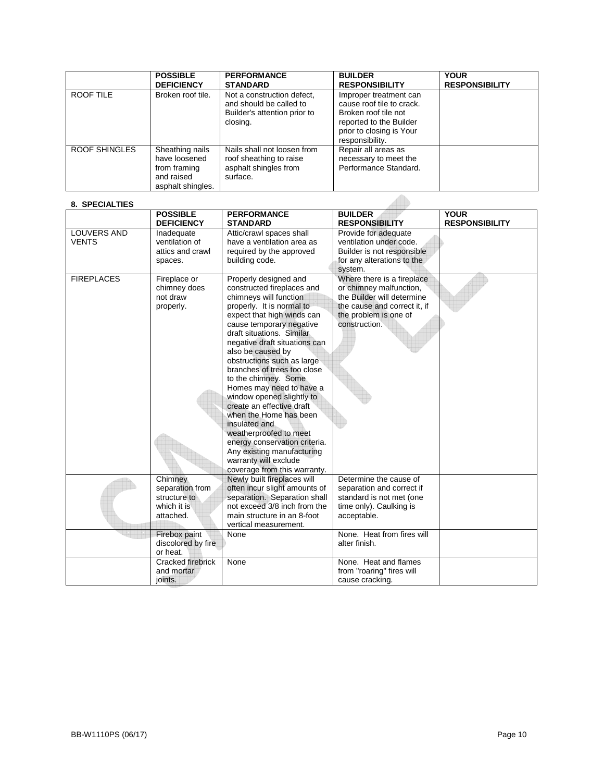|                      | <b>POSSIBLE</b><br><b>DEFICIENCY</b>                                                | <b>PERFORMANCE</b><br><b>STANDARD</b>                                                             | <b>BUILDER</b><br><b>RESPONSIBILITY</b>                                                                                                               | <b>YOUR</b><br><b>RESPONSIBILITY</b> |
|----------------------|-------------------------------------------------------------------------------------|---------------------------------------------------------------------------------------------------|-------------------------------------------------------------------------------------------------------------------------------------------------------|--------------------------------------|
| ROOF TILE            | Broken roof tile.                                                                   | Not a construction defect.<br>and should be called to<br>Builder's attention prior to<br>closing. | Improper treatment can<br>cause roof tile to crack.<br>Broken roof tile not<br>reported to the Builder<br>prior to closing is Your<br>responsibility. |                                      |
| <b>ROOF SHINGLES</b> | Sheathing nails<br>have loosened<br>from framing<br>and raised<br>asphalt shingles. | Nails shall not loosen from<br>roof sheathing to raise<br>asphalt shingles from<br>surface.       | Repair all areas as<br>necessary to meet the<br>Performance Standard.                                                                                 |                                      |

#### **8. SPECIALTIES**

| 8. SPECIALTIES                     |                                                                        |                                                                                                                                                                                                                                                                                                                                                                                                                                                                                                                                                                                                                                 |                                                                                                                                                               |                                      |
|------------------------------------|------------------------------------------------------------------------|---------------------------------------------------------------------------------------------------------------------------------------------------------------------------------------------------------------------------------------------------------------------------------------------------------------------------------------------------------------------------------------------------------------------------------------------------------------------------------------------------------------------------------------------------------------------------------------------------------------------------------|---------------------------------------------------------------------------------------------------------------------------------------------------------------|--------------------------------------|
|                                    | <b>POSSIBLE</b><br><b>DEFICIENCY</b>                                   | <b>PERFORMANCE</b><br><b>STANDARD</b>                                                                                                                                                                                                                                                                                                                                                                                                                                                                                                                                                                                           | <b>BUILDER</b><br><b>RESPONSIBILITY</b>                                                                                                                       | <b>YOUR</b><br><b>RESPONSIBILITY</b> |
| <b>LOUVERS AND</b><br><b>VENTS</b> | Inadequate<br>ventilation of<br>attics and crawl<br>spaces.            | Attic/crawl spaces shall<br>have a ventilation area as<br>required by the approved<br>building code.                                                                                                                                                                                                                                                                                                                                                                                                                                                                                                                            | Provide for adequate<br>ventilation under code.<br>Builder is not responsible<br>for any alterations to the<br>system.                                        |                                      |
| <b>FIREPLACES</b>                  | Fireplace or<br>chimney does<br>not draw<br>properly.                  | Properly designed and<br>constructed fireplaces and<br>chimneys will function<br>properly. It is normal to<br>expect that high winds can<br>cause temporary negative<br>draft situations. Similar<br>negative draft situations can<br>also be caused by<br>obstructions such as large<br>branches of trees too close<br>to the chimney. Some<br>Homes may need to have a<br>window opened slightly to<br>create an effective draft<br>when the Home has been<br>insulated and<br>weatherproofed to meet<br>energy conservation criteria.<br>Any existing manufacturing<br>warranty will exclude<br>coverage from this warranty. | Where there is a fireplace<br>or chimney malfunction,<br>the Builder will determine<br>the cause and correct it, if<br>the problem is one of<br>construction. |                                      |
|                                    | Chimney<br>separation from<br>structure to<br>which it is<br>attached. | Newly built fireplaces will<br>often incur slight amounts of<br>separation. Separation shall<br>not exceed 3/8 inch from the<br>main structure in an 8-foot<br>vertical measurement.                                                                                                                                                                                                                                                                                                                                                                                                                                            | Determine the cause of<br>separation and correct if<br>standard is not met (one<br>time only). Caulking is<br>acceptable.                                     |                                      |
|                                    | Firebox paint<br>discolored by fire<br>or heat.                        | None                                                                                                                                                                                                                                                                                                                                                                                                                                                                                                                                                                                                                            | None. Heat from fires will<br>alter finish.                                                                                                                   |                                      |
|                                    | Cracked firebrick<br>and mortar<br>joints.                             | None                                                                                                                                                                                                                                                                                                                                                                                                                                                                                                                                                                                                                            | None. Heat and flames<br>from "roaring" fires will<br>cause cracking.                                                                                         |                                      |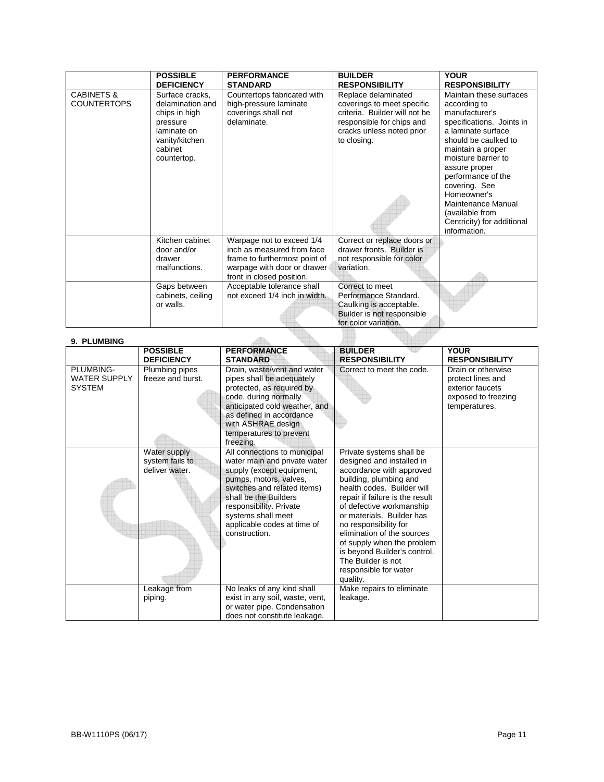|                                             | <b>POSSIBLE</b><br><b>DEFICIENCY</b>                                                                                        | <b>PERFORMANCE</b><br><b>STANDARD</b>                                                                                                                | <b>BUILDER</b><br><b>RESPONSIBILITY</b>                                                                                                                     | <b>YOUR</b><br><b>RESPONSIBILITY</b>                                                                                                                                                                                                                                                                                                           |
|---------------------------------------------|-----------------------------------------------------------------------------------------------------------------------------|------------------------------------------------------------------------------------------------------------------------------------------------------|-------------------------------------------------------------------------------------------------------------------------------------------------------------|------------------------------------------------------------------------------------------------------------------------------------------------------------------------------------------------------------------------------------------------------------------------------------------------------------------------------------------------|
| <b>CABINETS &amp;</b><br><b>COUNTERTOPS</b> | Surface cracks,<br>delamination and<br>chips in high<br>pressure<br>laminate on<br>vanity/kitchen<br>cabinet<br>countertop. | Countertops fabricated with<br>high-pressure laminate<br>coverings shall not<br>delaminate.                                                          | Replace delaminated<br>coverings to meet specific<br>criteria. Builder will not be<br>responsible for chips and<br>cracks unless noted prior<br>to closing. | Maintain these surfaces<br>according to<br>manufacturer's<br>specifications. Joints in<br>a laminate surface<br>should be caulked to<br>maintain a proper<br>moisture barrier to<br>assure proper<br>performance of the<br>covering. See<br>Homeowner's<br>Maintenance Manual<br>(available from<br>Centricity) for additional<br>information. |
|                                             | Kitchen cabinet<br>door and/or<br>drawer<br>malfunctions.                                                                   | Warpage not to exceed 1/4<br>inch as measured from face<br>frame to furthermost point of<br>warpage with door or drawer<br>front in closed position. | Correct or replace doors or<br>drawer fronts. Builder is<br>not responsible for color<br>variation.                                                         |                                                                                                                                                                                                                                                                                                                                                |
|                                             | Gaps between<br>cabinets, ceiling<br>or walls.                                                                              | Acceptable tolerance shall<br>not exceed 1/4 inch in width.                                                                                          | Correct to meet<br>Performance Standard.<br>Caulking is acceptable.<br>Builder is not responsible<br>for color variation.                                   |                                                                                                                                                                                                                                                                                                                                                |
|                                             |                                                                                                                             |                                                                                                                                                      |                                                                                                                                                             |                                                                                                                                                                                                                                                                                                                                                |

| 9. PLUMBING                                       |                                                   |                                                                                                                                                                                                                                                                                           |                                                                                                                                                                                                                                                                                                                                                                                                                       |                                                                                                     |
|---------------------------------------------------|---------------------------------------------------|-------------------------------------------------------------------------------------------------------------------------------------------------------------------------------------------------------------------------------------------------------------------------------------------|-----------------------------------------------------------------------------------------------------------------------------------------------------------------------------------------------------------------------------------------------------------------------------------------------------------------------------------------------------------------------------------------------------------------------|-----------------------------------------------------------------------------------------------------|
|                                                   | <b>POSSIBLE</b>                                   | <b>PERFORMANCE</b>                                                                                                                                                                                                                                                                        | <b>BUILDER</b>                                                                                                                                                                                                                                                                                                                                                                                                        | <b>YOUR</b>                                                                                         |
|                                                   | <b>DEFICIENCY</b>                                 | <b>STANDARD</b>                                                                                                                                                                                                                                                                           | <b>RESPONSIBILITY</b>                                                                                                                                                                                                                                                                                                                                                                                                 | <b>RESPONSIBILITY</b>                                                                               |
| PLUMBING-<br><b>WATER SUPPLY</b><br><b>SYSTEM</b> | Plumbing pipes<br>freeze and burst.               | Drain, waste/vent and water<br>pipes shall be adequately<br>protected, as required by<br>code, during normally<br>anticipated cold weather, and<br>as defined in accordance<br>with ASHRAE design<br>temperatures to prevent                                                              | Correct to meet the code.                                                                                                                                                                                                                                                                                                                                                                                             | Drain or otherwise<br>protect lines and<br>exterior faucets<br>exposed to freezing<br>temperatures. |
|                                                   | Water supply<br>system fails to<br>deliver water. | freezing.<br>All connections to municipal<br>water main and private water<br>supply (except equipment,<br>pumps, motors, valves,<br>switches and related items)<br>shall be the Builders<br>responsibility. Private<br>systems shall meet<br>applicable codes at time of<br>construction. | Private systems shall be<br>designed and installed in<br>accordance with approved<br>building, plumbing and<br>health codes. Builder will<br>repair if failure is the result<br>of defective workmanship<br>or materials. Builder has<br>no responsibility for<br>elimination of the sources<br>of supply when the problem<br>is beyond Builder's control.<br>The Builder is not<br>responsible for water<br>quality. |                                                                                                     |
|                                                   | Leakage from<br>piping.                           | No leaks of any kind shall<br>exist in any soil, waste, vent,<br>or water pipe. Condensation<br>does not constitute leakage.                                                                                                                                                              | Make repairs to eliminate<br>leakage.                                                                                                                                                                                                                                                                                                                                                                                 |                                                                                                     |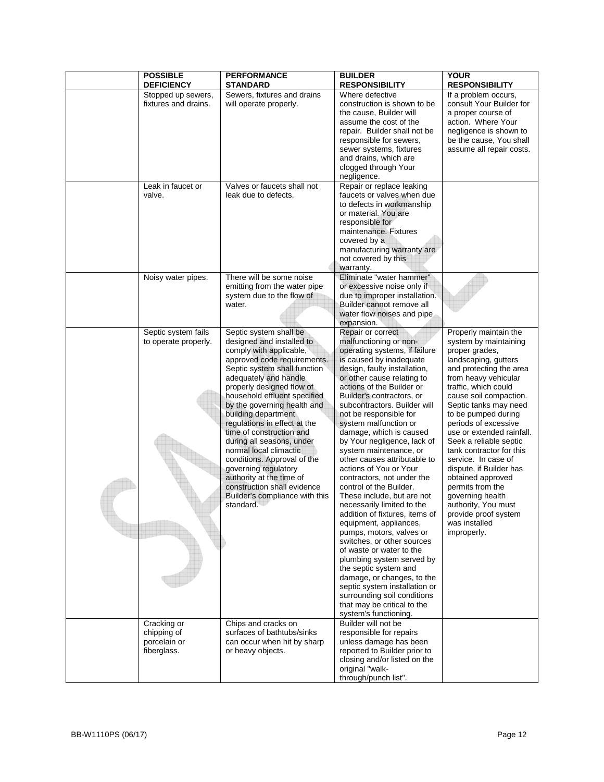| <b>POSSIBLE</b><br><b>DEFICIENCY</b>                      | <b>PERFORMANCE</b><br><b>STANDARD</b>                                                                                                                                                                                                                                                                                                                                                                                                                                                                                                                                         | <b>BUILDER</b><br><b>RESPONSIBILITY</b>                                                                                                                                                                                                                                                                                                                                                                                                                                                                                                                                                                                                                                                                                                                                                                                                                                                                                                             | <b>YOUR</b><br><b>RESPONSIBILITY</b>                                                                                                                                                                                                                                                                                                                                                                                                                                                                                                                   |
|-----------------------------------------------------------|-------------------------------------------------------------------------------------------------------------------------------------------------------------------------------------------------------------------------------------------------------------------------------------------------------------------------------------------------------------------------------------------------------------------------------------------------------------------------------------------------------------------------------------------------------------------------------|-----------------------------------------------------------------------------------------------------------------------------------------------------------------------------------------------------------------------------------------------------------------------------------------------------------------------------------------------------------------------------------------------------------------------------------------------------------------------------------------------------------------------------------------------------------------------------------------------------------------------------------------------------------------------------------------------------------------------------------------------------------------------------------------------------------------------------------------------------------------------------------------------------------------------------------------------------|--------------------------------------------------------------------------------------------------------------------------------------------------------------------------------------------------------------------------------------------------------------------------------------------------------------------------------------------------------------------------------------------------------------------------------------------------------------------------------------------------------------------------------------------------------|
| Stopped up sewers,<br>fixtures and drains.                | Sewers, fixtures and drains<br>will operate properly.                                                                                                                                                                                                                                                                                                                                                                                                                                                                                                                         | Where defective<br>construction is shown to be<br>the cause, Builder will<br>assume the cost of the<br>repair. Builder shall not be<br>responsible for sewers,<br>sewer systems, fixtures<br>and drains, which are<br>clogged through Your<br>negligence.                                                                                                                                                                                                                                                                                                                                                                                                                                                                                                                                                                                                                                                                                           | If a problem occurs,<br>consult Your Builder for<br>a proper course of<br>action. Where Your<br>negligence is shown to<br>be the cause, You shall<br>assume all repair costs.                                                                                                                                                                                                                                                                                                                                                                          |
| Leak in faucet or<br>valve.                               | Valves or faucets shall not<br>leak due to defects.                                                                                                                                                                                                                                                                                                                                                                                                                                                                                                                           | Repair or replace leaking<br>faucets or valves when due<br>to defects in workmanship<br>or material. You are<br>responsible for<br>maintenance. Fixtures<br>covered by a<br>manufacturing warranty are<br>not covered by this<br>warranty.                                                                                                                                                                                                                                                                                                                                                                                                                                                                                                                                                                                                                                                                                                          |                                                                                                                                                                                                                                                                                                                                                                                                                                                                                                                                                        |
| Noisy water pipes.                                        | There will be some noise<br>emitting from the water pipe<br>system due to the flow of<br>water.                                                                                                                                                                                                                                                                                                                                                                                                                                                                               | Eliminate "water hammer"<br>or excessive noise only if<br>due to improper installation.<br>Builder cannot remove all<br>water flow noises and pipe<br>expansion.                                                                                                                                                                                                                                                                                                                                                                                                                                                                                                                                                                                                                                                                                                                                                                                    |                                                                                                                                                                                                                                                                                                                                                                                                                                                                                                                                                        |
| Septic system fails<br>to operate properly.               | Septic system shall be<br>designed and installed to<br>comply with applicable,<br>approved code requirements.<br>Septic system shall function<br>adequately and handle<br>properly designed flow of<br>household effluent specified<br>by the governing health and<br>building department<br>regulations in effect at the<br>time of construction and<br>during all seasons, under<br>normal local climactic<br>conditions. Approval of the<br>governing regulatory<br>authority at the time of<br>construction shall evidence<br>Builder's compliance with this<br>standard. | Repair or correct<br>malfunctioning or non-<br>operating systems, if failure<br>is caused by inadequate<br>design, faulty installation,<br>or other cause relating to<br>actions of the Builder or<br>Builder's contractors, or<br>subcontractors. Builder will<br>not be responsible for<br>system malfunction or<br>damage, which is caused<br>by Your negligence, lack of<br>system maintenance, or<br>other causes attributable to<br>actions of You or Your<br>contractors, not under the<br>control of the Builder.<br>These include, but are not<br>necessarily limited to the<br>addition of fixtures, items of<br>equipment, appliances,<br>pumps, motors, valves or<br>switches, or other sources<br>of waste or water to the<br>plumbing system served by<br>the septic system and<br>damage, or changes, to the<br>septic system installation or<br>surrounding soil conditions<br>that may be critical to the<br>system's functioning. | Properly maintain the<br>system by maintaining<br>proper grades,<br>landscaping, gutters<br>and protecting the area<br>from heavy vehicular<br>traffic, which could<br>cause soil compaction.<br>Septic tanks may need<br>to be pumped during<br>periods of excessive<br>use or extended rainfall.<br>Seek a reliable septic<br>tank contractor for this<br>service. In case of<br>dispute, if Builder has<br>obtained approved<br>permits from the<br>governing health<br>authority, You must<br>provide proof system<br>was installed<br>improperly. |
| Cracking or<br>chipping of<br>porcelain or<br>fiberglass. | Chips and cracks on<br>surfaces of bathtubs/sinks<br>can occur when hit by sharp<br>or heavy objects.                                                                                                                                                                                                                                                                                                                                                                                                                                                                         | Builder will not be<br>responsible for repairs<br>unless damage has been<br>reported to Builder prior to<br>closing and/or listed on the<br>original "walk-<br>through/punch list".                                                                                                                                                                                                                                                                                                                                                                                                                                                                                                                                                                                                                                                                                                                                                                 |                                                                                                                                                                                                                                                                                                                                                                                                                                                                                                                                                        |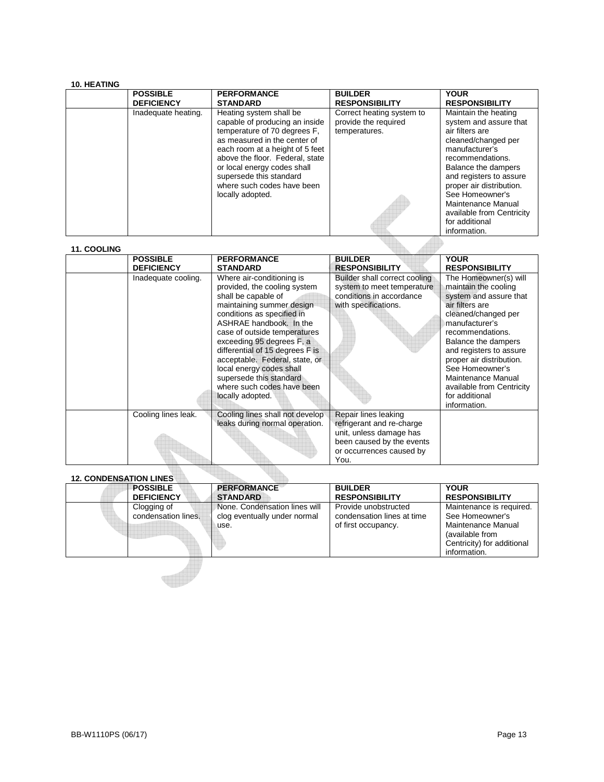| <b>10. HEATING</b> |                     |                                                                                                                                                                                                                                                                                                             |                                                                    |                                                                                                                                                                                                                                                                                                                      |
|--------------------|---------------------|-------------------------------------------------------------------------------------------------------------------------------------------------------------------------------------------------------------------------------------------------------------------------------------------------------------|--------------------------------------------------------------------|----------------------------------------------------------------------------------------------------------------------------------------------------------------------------------------------------------------------------------------------------------------------------------------------------------------------|
|                    | <b>POSSIBLE</b>     | <b>PERFORMANCE</b>                                                                                                                                                                                                                                                                                          | <b>BUILDER</b>                                                     | <b>YOUR</b>                                                                                                                                                                                                                                                                                                          |
|                    | <b>DEFICIENCY</b>   | <b>STANDARD</b>                                                                                                                                                                                                                                                                                             | <b>RESPONSIBILITY</b>                                              | <b>RESPONSIBILITY</b>                                                                                                                                                                                                                                                                                                |
|                    | Inadequate heating. | Heating system shall be<br>capable of producing an inside<br>temperature of 70 degrees F.<br>as measured in the center of<br>each room at a height of 5 feet<br>above the floor. Federal, state<br>or local energy codes shall<br>supersede this standard<br>where such codes have been<br>locally adopted. | Correct heating system to<br>provide the required<br>temperatures. | Maintain the heating<br>system and assure that<br>air filters are<br>cleaned/changed per<br>manufacturer's<br>recommendations.<br>Balance the dampers<br>and registers to assure<br>proper air distribution.<br>See Homeowner's<br>Maintenance Manual<br>available from Centricity<br>for additional<br>information. |

| <b>11. COOLING</b>            |                                      |                                                                                                                                                                                                                                                                                                                                                                                                                   |                                                                                                                                               |                                                                                                                                                                                                                                                                                                                                               |
|-------------------------------|--------------------------------------|-------------------------------------------------------------------------------------------------------------------------------------------------------------------------------------------------------------------------------------------------------------------------------------------------------------------------------------------------------------------------------------------------------------------|-----------------------------------------------------------------------------------------------------------------------------------------------|-----------------------------------------------------------------------------------------------------------------------------------------------------------------------------------------------------------------------------------------------------------------------------------------------------------------------------------------------|
|                               | <b>POSSIBLE</b><br><b>DEFICIENCY</b> | <b>PERFORMANCE</b><br><b>STANDARD</b>                                                                                                                                                                                                                                                                                                                                                                             | <b>BUILDER</b><br><b>RESPONSIBILITY</b>                                                                                                       | <b>YOUR</b><br><b>RESPONSIBILITY</b>                                                                                                                                                                                                                                                                                                          |
|                               | Inadequate cooling.                  | Where air-conditioning is<br>provided, the cooling system<br>shall be capable of<br>maintaining summer design<br>conditions as specified in<br>ASHRAE handbook. In the<br>case of outside temperatures<br>exceeding 95 degrees F, a<br>differential of 15 degrees F is<br>acceptable. Federal, state, or<br>local energy codes shall<br>supersede this standard<br>where such codes have been<br>locally adopted. | Builder shall correct cooling<br>system to meet temperature<br>conditions in accordance<br>with specifications.                               | The Homeowner(s) will<br>maintain the cooling<br>system and assure that<br>air filters are<br>cleaned/changed per<br>manufacturer's<br>recommendations.<br>Balance the dampers<br>and registers to assure<br>proper air distribution.<br>See Homeowner's<br>Maintenance Manual<br>available from Centricity<br>for additional<br>information. |
|                               | Cooling lines leak.                  | Cooling lines shall not develop<br>leaks during normal operation.                                                                                                                                                                                                                                                                                                                                                 | Repair lines leaking<br>refrigerant and re-charge<br>unit, unless damage has<br>been caused by the events<br>or occurrences caused by<br>You. |                                                                                                                                                                                                                                                                                                                                               |
| <b>12. CONDENSATION LINES</b> |                                      |                                                                                                                                                                                                                                                                                                                                                                                                                   |                                                                                                                                               |                                                                                                                                                                                                                                                                                                                                               |

# **12. CONDENSATION LINES**

| IZ. CONDENSATION EINES |                                      |                                                                       |                                                                           |                                                                                                                                    |
|------------------------|--------------------------------------|-----------------------------------------------------------------------|---------------------------------------------------------------------------|------------------------------------------------------------------------------------------------------------------------------------|
|                        | <b>POSSIBLE</b><br><b>DEFICIENCY</b> | <b>PERFORMANCE</b><br><b>STANDARD</b>                                 | <b>BUILDER</b><br><b>RESPONSIBILITY</b>                                   | <b>YOUR</b><br><b>RESPONSIBILITY</b>                                                                                               |
|                        | Clogging of<br>condensation lines.   | None. Condensation lines will<br>clog eventually under normal<br>use. | Provide unobstructed<br>condensation lines at time<br>of first occupancy. | Maintenance is required.<br>See Homeowner's<br>Maintenance Manual<br>(available from<br>Centricity) for additional<br>information. |
|                        |                                      |                                                                       |                                                                           |                                                                                                                                    |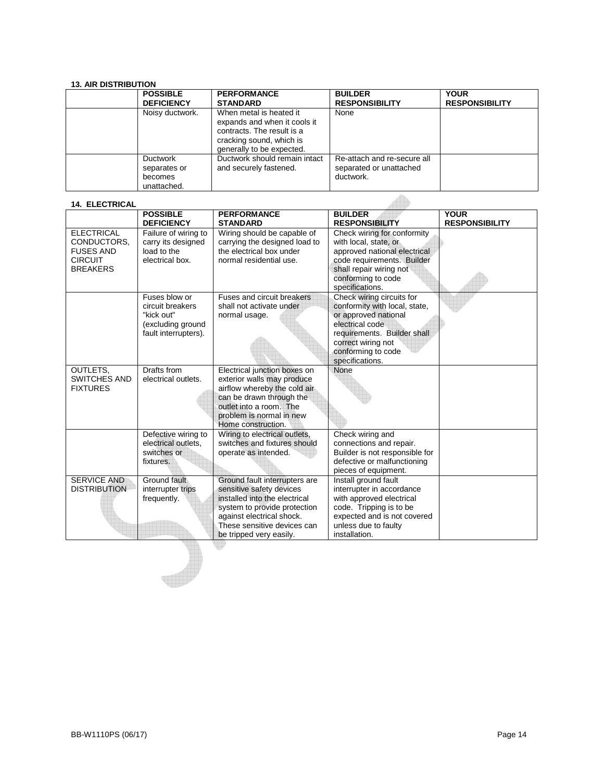| <b>13. AIR DISTRIBUTION</b> |                   |                               |                             |                       |
|-----------------------------|-------------------|-------------------------------|-----------------------------|-----------------------|
|                             | <b>POSSIBLE</b>   | <b>PERFORMANCE</b>            | <b>BUILDER</b>              | <b>YOUR</b>           |
|                             | <b>DEFICIENCY</b> | <b>STANDARD</b>               | <b>RESPONSIBILITY</b>       | <b>RESPONSIBILITY</b> |
|                             | Noisy ductwork.   | When metal is heated it       | None                        |                       |
|                             |                   | expands and when it cools it  |                             |                       |
|                             |                   | contracts. The result is a    |                             |                       |
|                             |                   | cracking sound, which is      |                             |                       |
|                             |                   | generally to be expected.     |                             |                       |
|                             | Ductwork          | Ductwork should remain intact | Re-attach and re-secure all |                       |
|                             | separates or      | and securely fastened.        | separated or unattached     |                       |
|                             | becomes           |                               | ductwork.                   |                       |
|                             | unattached.       |                               |                             |                       |

| <b>14. ELECTRICAL</b>                                                                     |                                                                                              |                                                                                                                                                                                                                   |                                                                                                                                                                                                     |                                      |
|-------------------------------------------------------------------------------------------|----------------------------------------------------------------------------------------------|-------------------------------------------------------------------------------------------------------------------------------------------------------------------------------------------------------------------|-----------------------------------------------------------------------------------------------------------------------------------------------------------------------------------------------------|--------------------------------------|
|                                                                                           | <b>POSSIBLE</b><br><b>DEFICIENCY</b>                                                         | <b>PERFORMANCE</b><br><b>STANDARD</b>                                                                                                                                                                             | <b>BUILDER</b><br><b>RESPONSIBILITY</b>                                                                                                                                                             | <b>YOUR</b><br><b>RESPONSIBILITY</b> |
| <b>ELECTRICAL</b><br>CONDUCTORS.<br><b>FUSES AND</b><br><b>CIRCUIT</b><br><b>BREAKERS</b> | Failure of wiring to<br>carry its designed<br>load to the<br>electrical box.                 | Wiring should be capable of<br>carrying the designed load to<br>the electrical box under<br>normal residential use.                                                                                               | Check wiring for conformity<br>with local, state, or<br>approved national electrical<br>code requirements. Builder<br>shall repair wiring not<br>conforming to code<br>specifications.              |                                      |
|                                                                                           | Fuses blow or<br>circuit breakers<br>"kick out"<br>(excluding ground<br>fault interrupters). | Fuses and circuit breakers<br>shall not activate under<br>normal usage.                                                                                                                                           | Check wiring circuits for<br>conformity with local, state,<br>or approved national<br>electrical code<br>requirements. Builder shall<br>correct wiring not<br>conforming to code<br>specifications. |                                      |
| OUTLETS.<br><b>SWITCHES AND</b><br><b>FIXTURES</b>                                        | Drafts from<br>electrical outlets.                                                           | Electrical junction boxes on<br>exterior walls may produce<br>airflow whereby the cold air<br>can be drawn through the<br>outlet into a room. The<br>problem is normal in new<br>Home construction.               | None                                                                                                                                                                                                |                                      |
|                                                                                           | Defective wiring to<br>electrical outlets.<br>switches or<br>fixtures.                       | Wiring to electrical outlets,<br>switches and fixtures should<br>operate as intended.                                                                                                                             | Check wiring and<br>connections and repair.<br>Builder is not responsible for<br>defective or malfunctioning<br>pieces of equipment.                                                                |                                      |
| <b>SERVICE AND</b><br><b>DISTRIBUTION</b>                                                 | Ground fault<br>interrupter trips<br>frequently.                                             | Ground fault interrupters are<br>sensitive safety devices<br>installed into the electrical<br>system to provide protection<br>against electrical shock.<br>These sensitive devices can<br>be tripped very easily. | Install ground fault<br>interrupter in accordance<br>with approved electrical<br>code. Tripping is to be<br>expected and is not covered<br>unless due to faulty<br>installation.                    |                                      |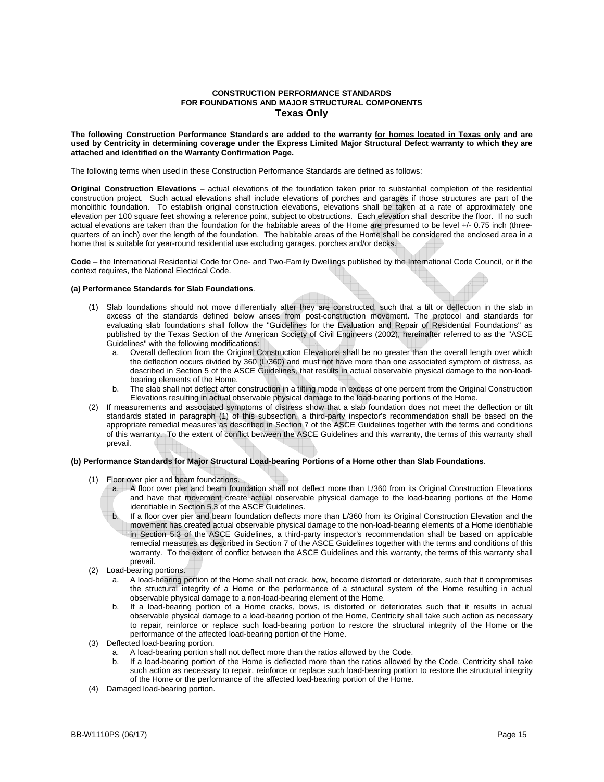#### **CONSTRUCTION PERFORMANCE STANDARDS FOR FOUNDATIONS AND MAJOR STRUCTURAL COMPONENTS Texas Only**

**The following Construction Performance Standards are added to the warranty for homes located in Texas only and are used by Centricity in determining coverage under the Express Limited Major Structural Defect warranty to which they are attached and identified on the Warranty Confirmation Page.** 

The following terms when used in these Construction Performance Standards are defined as follows:

**Original Construction Elevations** – actual elevations of the foundation taken prior to substantial completion of the residential construction project. Such actual elevations shall include elevations of porches and garages if those structures are part of the monolithic foundation. To establish original construction elevations, elevations shall be taken at a rate of approximately one elevation per 100 square feet showing a reference point, subject to obstructions. Each elevation shall describe the floor. If no such actual elevations are taken than the foundation for the habitable areas of the Home are presumed to be level +/- 0.75 inch (threequarters of an inch) over the length of the foundation. The habitable areas of the Home shall be considered the enclosed area in a home that is suitable for year-round residential use excluding garages, porches and/or decks.

**Code** – the International Residential Code for One- and Two-Family Dwellings published by the International Code Council, or if the context requires, the National Electrical Code.

#### **(a) Performance Standards for Slab Foundations**.

- (1) Slab foundations should not move differentially after they are constructed, such that a tilt or deflection in the slab in excess of the standards defined below arises from post-construction movement. The protocol and standards for evaluating slab foundations shall follow the "Guidelines for the Evaluation and Repair of Residential Foundations" as published by the Texas Section of the American Society of Civil Engineers (2002), hereinafter referred to as the "ASCE Guidelines" with the following modifications:
	- Overall deflection from the Original Construction Elevations shall be no greater than the overall length over which the deflection occurs divided by 360 (L/360) and must not have more than one associated symptom of distress, as described in Section 5 of the ASCE Guidelines, that results in actual observable physical damage to the non-loadbearing elements of the Home.
	- b. The slab shall not deflect after construction in a tilting mode in excess of one percent from the Original Construction Elevations resulting in actual observable physical damage to the load-bearing portions of the Home.
- (2) If measurements and associated symptoms of distress show that a slab foundation does not meet the deflection or tilt standards stated in paragraph (1) of this subsection, a third-party inspector's recommendation shall be based on the appropriate remedial measures as described in Section 7 of the ASCE Guidelines together with the terms and conditions of this warranty. To the extent of conflict between the ASCE Guidelines and this warranty, the terms of this warranty shall prevail.

#### **(b) Performance Standards for Major Structural Load-bearing Portions of a Home other than Slab Foundations**.

- (1) Floor over pier and beam foundations.
	- A floor over pier and beam foundation shall not deflect more than L/360 from its Original Construction Elevations and have that movement create actual observable physical damage to the load-bearing portions of the Home identifiable in Section 5.3 of the ASCE Guidelines.
	- b. If a floor over pier and beam foundation deflects more than L/360 from its Original Construction Elevation and the movement has created actual observable physical damage to the non-load-bearing elements of a Home identifiable in Section 5.3 of the ASCE Guidelines, a third-party inspector's recommendation shall be based on applicable remedial measures as described in Section 7 of the ASCE Guidelines together with the terms and conditions of this warranty. To the extent of conflict between the ASCE Guidelines and this warranty, the terms of this warranty shall prevail.
- (2) Load-bearing portions.
	- a. A load-bearing portion of the Home shall not crack, bow, become distorted or deteriorate, such that it compromises the structural integrity of a Home or the performance of a structural system of the Home resulting in actual observable physical damage to a non-load-bearing element of the Home.
	- b. If a load-bearing portion of a Home cracks, bows, is distorted or deteriorates such that it results in actual observable physical damage to a load-bearing portion of the Home, Centricity shall take such action as necessary to repair, reinforce or replace such load-bearing portion to restore the structural integrity of the Home or the performance of the affected load-bearing portion of the Home.
- (3) Deflected load-bearing portion.
	- a. A load-bearing portion shall not deflect more than the ratios allowed by the Code.
	- b. If a load-bearing portion of the Home is deflected more than the ratios allowed by the Code, Centricity shall take such action as necessary to repair, reinforce or replace such load-bearing portion to restore the structural integrity of the Home or the performance of the affected load-bearing portion of the Home.
- (4) Damaged load-bearing portion.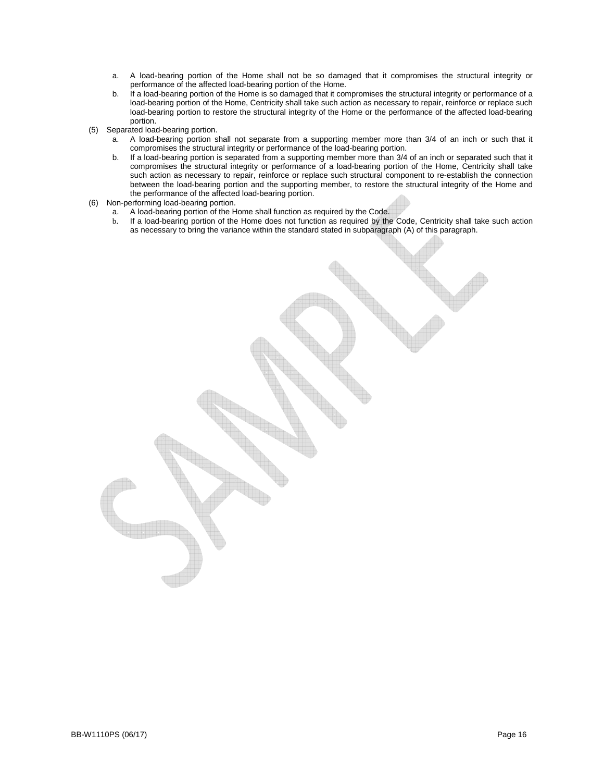- a. A load-bearing portion of the Home shall not be so damaged that it compromises the structural integrity or performance of the affected load-bearing portion of the Home.
- b. If a load-bearing portion of the Home is so damaged that it compromises the structural integrity or performance of a load-bearing portion of the Home, Centricity shall take such action as necessary to repair, reinforce or replace such load-bearing portion to restore the structural integrity of the Home or the performance of the affected load-bearing portion.
- (5) Separated load-bearing portion.
	- a. A load-bearing portion shall not separate from a supporting member more than 3/4 of an inch or such that it compromises the structural integrity or performance of the load-bearing portion.
		- b. If a load-bearing portion is separated from a supporting member more than 3/4 of an inch or separated such that it compromises the structural integrity or performance of a load-bearing portion of the Home, Centricity shall take such action as necessary to repair, reinforce or replace such structural component to re-establish the connection between the load-bearing portion and the supporting member, to restore the structural integrity of the Home and the performance of the affected load-bearing portion.
- (6) Non-performing load-bearing portion.
	- a. A load-bearing portion of the Home shall function as required by the Code.
	- b. If a load-bearing portion of the Home does not function as required by the Code, Centricity shall take such action as necessary to bring the variance within the standard stated in subparagraph (A) of this paragraph.

BB-W1110PS (06/17) Page 16